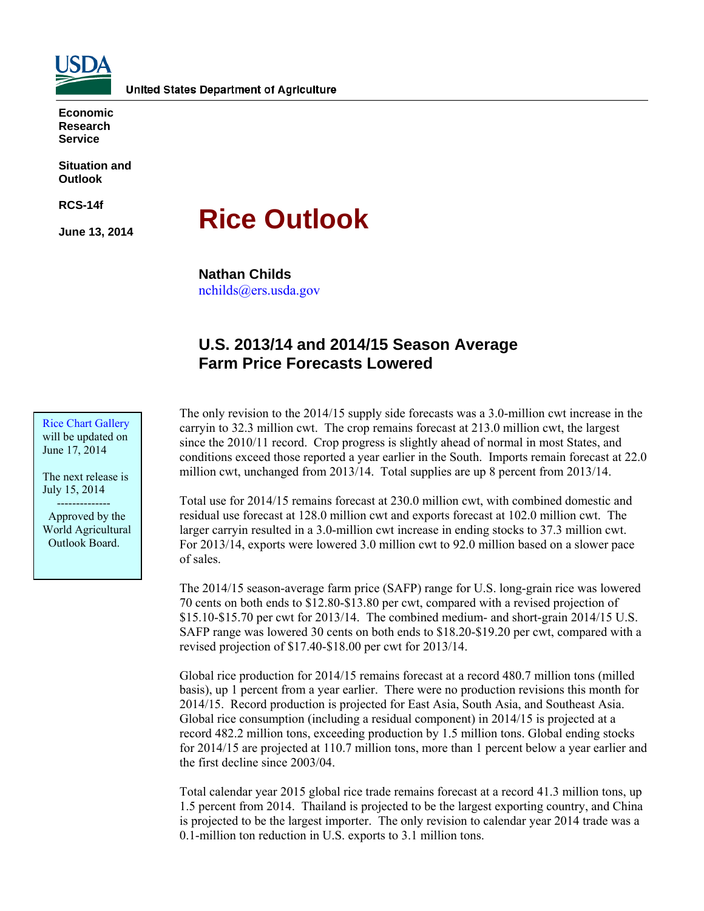

**Economic Research Service** 

**Situation and Outlook** 

**RCS-14f** 

**June 13, 2014** 

# **Rice Outlook**

**Nathan Childs** 

nchilds@ers.usda.gov

## **U.S. 2013/14 and 2014/15 Season Average Farm Price Forecasts Lowered**

Rice Chart Gallery will be updated on June 17, 2014

The next release is July 15, 2014

 -------------- Approved by the World Agricultural Outlook Board.

The only revision to the 2014/15 supply side forecasts was a 3.0-million cwt increase in the carryin to 32.3 million cwt. The crop remains forecast at 213.0 million cwt, the largest since the 2010/11 record. Crop progress is slightly ahead of normal in most States, and conditions exceed those reported a year earlier in the South. Imports remain forecast at 22.0 million cwt, unchanged from 2013/14. Total supplies are up 8 percent from 2013/14.

Total use for 2014/15 remains forecast at 230.0 million cwt, with combined domestic and residual use forecast at 128.0 million cwt and exports forecast at 102.0 million cwt. The larger carryin resulted in a 3.0-million cwt increase in ending stocks to 37.3 million cwt. For 2013/14, exports were lowered 3.0 million cwt to 92.0 million based on a slower pace of sales.

The 2014/15 season-average farm price (SAFP) range for U.S. long-grain rice was lowered 70 cents on both ends to \$12.80-\$13.80 per cwt, compared with a revised projection of \$15.10-\$15.70 per cwt for 2013/14. The combined medium- and short-grain 2014/15 U.S. SAFP range was lowered 30 cents on both ends to \$18.20-\$19.20 per cwt, compared with a revised projection of \$17.40-\$18.00 per cwt for 2013/14.

Global rice production for 2014/15 remains forecast at a record 480.7 million tons (milled basis), up 1 percent from a year earlier. There were no production revisions this month for 2014/15. Record production is projected for East Asia, South Asia, and Southeast Asia. Global rice consumption (including a residual component) in 2014/15 is projected at a record 482.2 million tons, exceeding production by 1.5 million tons. Global ending stocks for 2014/15 are projected at 110.7 million tons, more than 1 percent below a year earlier and the first decline since 2003/04.

Total calendar year 2015 global rice trade remains forecast at a record 41.3 million tons, up 1.5 percent from 2014. Thailand is projected to be the largest exporting country, and China is projected to be the largest importer. The only revision to calendar year 2014 trade was a 0.1-million ton reduction in U.S. exports to 3.1 million tons.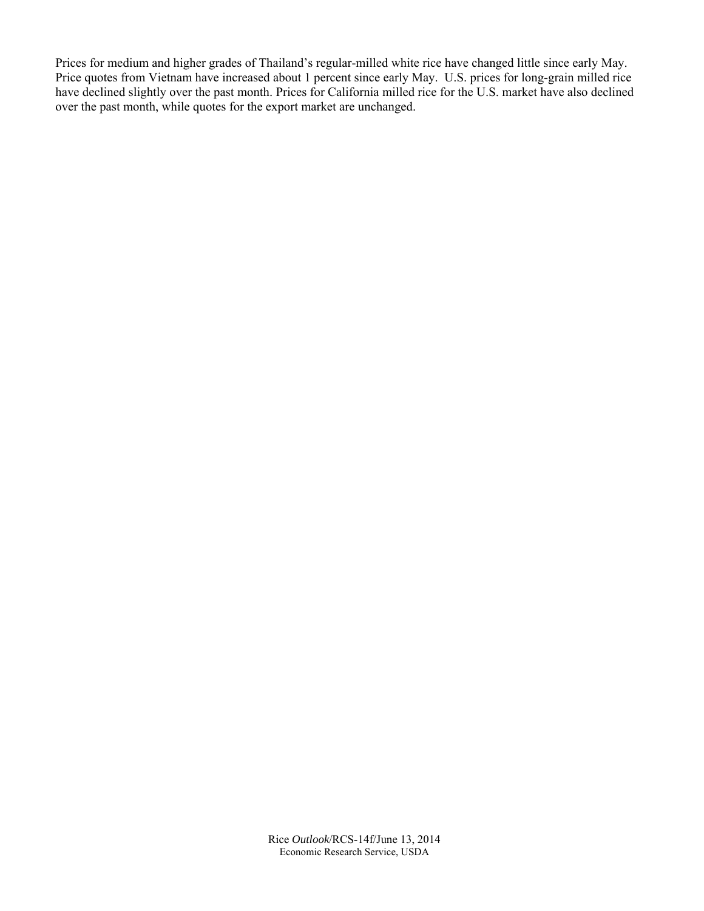Prices for medium and higher grades of Thailand's regular-milled white rice have changed little since early May. Price quotes from Vietnam have increased about 1 percent since early May. U.S. prices for long-grain milled rice have declined slightly over the past month. Prices for California milled rice for the U.S. market have also declined over the past month, while quotes for the export market are unchanged.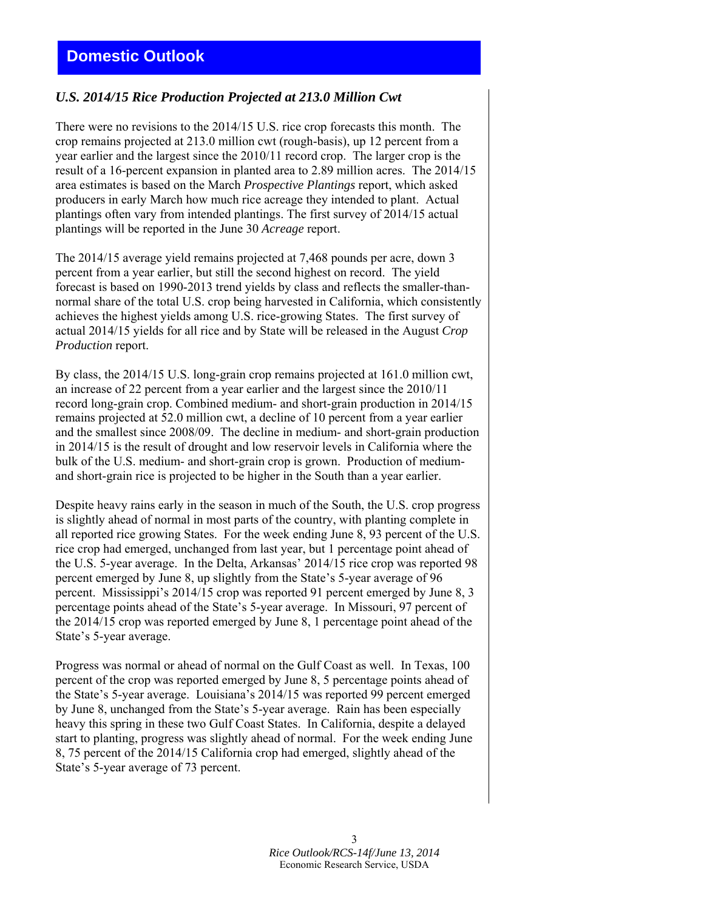# **Domestic Outlook**

#### *U.S. 2014/15 Rice Production Projected at 213.0 Million Cwt*

There were no revisions to the 2014/15 U.S. rice crop forecasts this month. The crop remains projected at 213.0 million cwt (rough-basis), up 12 percent from a year earlier and the largest since the 2010/11 record crop. The larger crop is the result of a 16-percent expansion in planted area to 2.89 million acres. The 2014/15 area estimates is based on the March *Prospective Plantings* report, which asked producers in early March how much rice acreage they intended to plant. Actual plantings often vary from intended plantings. The first survey of 2014/15 actual plantings will be reported in the June 30 *Acreage* report.

The 2014/15 average yield remains projected at 7,468 pounds per acre, down 3 percent from a year earlier, but still the second highest on record. The yield forecast is based on 1990-2013 trend yields by class and reflects the smaller-thannormal share of the total U.S. crop being harvested in California, which consistently achieves the highest yields among U.S. rice-growing States. The first survey of actual 2014/15 yields for all rice and by State will be released in the August *Crop Production* report.

By class, the 2014/15 U.S. long-grain crop remains projected at 161.0 million cwt, an increase of 22 percent from a year earlier and the largest since the 2010/11 record long-grain crop. Combined medium- and short-grain production in 2014/15 remains projected at 52.0 million cwt, a decline of 10 percent from a year earlier and the smallest since 2008/09. The decline in medium- and short-grain production in 2014/15 is the result of drought and low reservoir levels in California where the bulk of the U.S. medium- and short-grain crop is grown. Production of mediumand short-grain rice is projected to be higher in the South than a year earlier.

Despite heavy rains early in the season in much of the South, the U.S. crop progress is slightly ahead of normal in most parts of the country, with planting complete in all reported rice growing States. For the week ending June 8, 93 percent of the U.S. rice crop had emerged, unchanged from last year, but 1 percentage point ahead of the U.S. 5-year average. In the Delta, Arkansas' 2014/15 rice crop was reported 98 percent emerged by June 8, up slightly from the State's 5-year average of 96 percent. Mississippi's 2014/15 crop was reported 91 percent emerged by June 8, 3 percentage points ahead of the State's 5-year average. In Missouri, 97 percent of the 2014/15 crop was reported emerged by June 8, 1 percentage point ahead of the State's 5-year average.

Progress was normal or ahead of normal on the Gulf Coast as well. In Texas, 100 percent of the crop was reported emerged by June 8, 5 percentage points ahead of the State's 5-year average. Louisiana's 2014/15 was reported 99 percent emerged by June 8, unchanged from the State's 5-year average. Rain has been especially heavy this spring in these two Gulf Coast States. In California, despite a delayed start to planting, progress was slightly ahead of normal. For the week ending June 8, 75 percent of the 2014/15 California crop had emerged, slightly ahead of the State's 5-year average of 73 percent.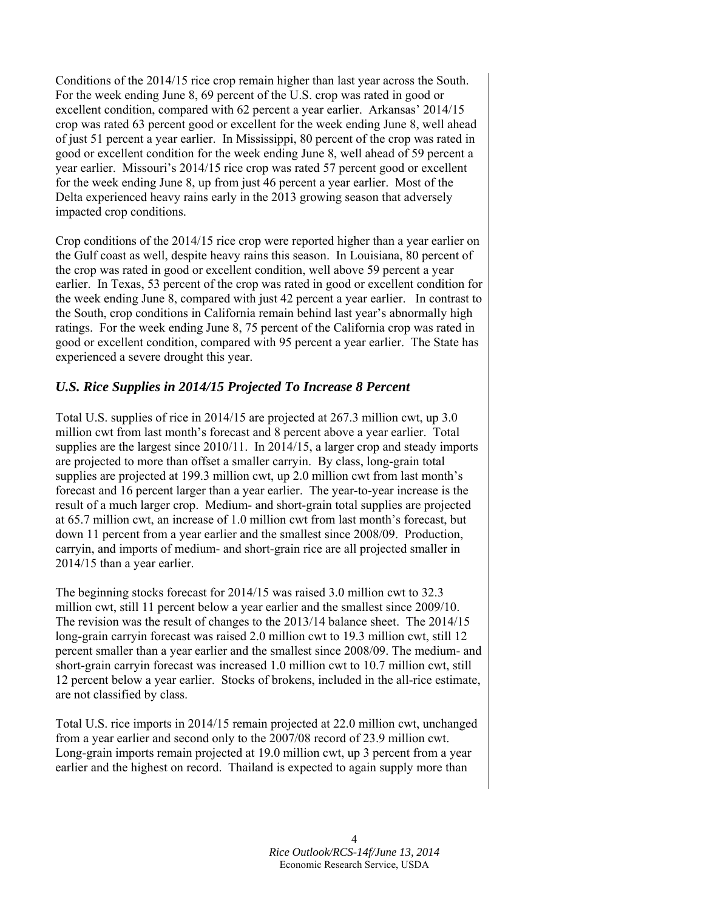Conditions of the 2014/15 rice crop remain higher than last year across the South. For the week ending June 8, 69 percent of the U.S. crop was rated in good or excellent condition, compared with 62 percent a year earlier. Arkansas' 2014/15 crop was rated 63 percent good or excellent for the week ending June 8, well ahead of just 51 percent a year earlier. In Mississippi, 80 percent of the crop was rated in good or excellent condition for the week ending June 8, well ahead of 59 percent a year earlier. Missouri's 2014/15 rice crop was rated 57 percent good or excellent for the week ending June 8, up from just 46 percent a year earlier. Most of the Delta experienced heavy rains early in the 2013 growing season that adversely impacted crop conditions.

Crop conditions of the 2014/15 rice crop were reported higher than a year earlier on the Gulf coast as well, despite heavy rains this season. In Louisiana, 80 percent of the crop was rated in good or excellent condition, well above 59 percent a year earlier. In Texas, 53 percent of the crop was rated in good or excellent condition for the week ending June 8, compared with just 42 percent a year earlier. In contrast to the South, crop conditions in California remain behind last year's abnormally high ratings. For the week ending June 8, 75 percent of the California crop was rated in good or excellent condition, compared with 95 percent a year earlier. The State has experienced a severe drought this year.

## *U.S. Rice Supplies in 2014/15 Projected To Increase 8 Percent*

Total U.S. supplies of rice in 2014/15 are projected at 267.3 million cwt, up 3.0 million cwt from last month's forecast and 8 percent above a year earlier. Total supplies are the largest since 2010/11. In 2014/15, a larger crop and steady imports are projected to more than offset a smaller carryin. By class, long-grain total supplies are projected at 199.3 million cwt, up 2.0 million cwt from last month's forecast and 16 percent larger than a year earlier. The year-to-year increase is the result of a much larger crop. Medium- and short-grain total supplies are projected at 65.7 million cwt, an increase of 1.0 million cwt from last month's forecast, but down 11 percent from a year earlier and the smallest since 2008/09. Production, carryin, and imports of medium- and short-grain rice are all projected smaller in 2014/15 than a year earlier.

The beginning stocks forecast for 2014/15 was raised 3.0 million cwt to 32.3 million cwt, still 11 percent below a year earlier and the smallest since 2009/10. The revision was the result of changes to the 2013/14 balance sheet. The 2014/15 long-grain carryin forecast was raised 2.0 million cwt to 19.3 million cwt, still 12 percent smaller than a year earlier and the smallest since 2008/09. The medium- and short-grain carryin forecast was increased 1.0 million cwt to 10.7 million cwt, still 12 percent below a year earlier. Stocks of brokens, included in the all-rice estimate, are not classified by class.

Total U.S. rice imports in 2014/15 remain projected at 22.0 million cwt, unchanged from a year earlier and second only to the 2007/08 record of 23.9 million cwt. Long-grain imports remain projected at 19.0 million cwt, up 3 percent from a year earlier and the highest on record. Thailand is expected to again supply more than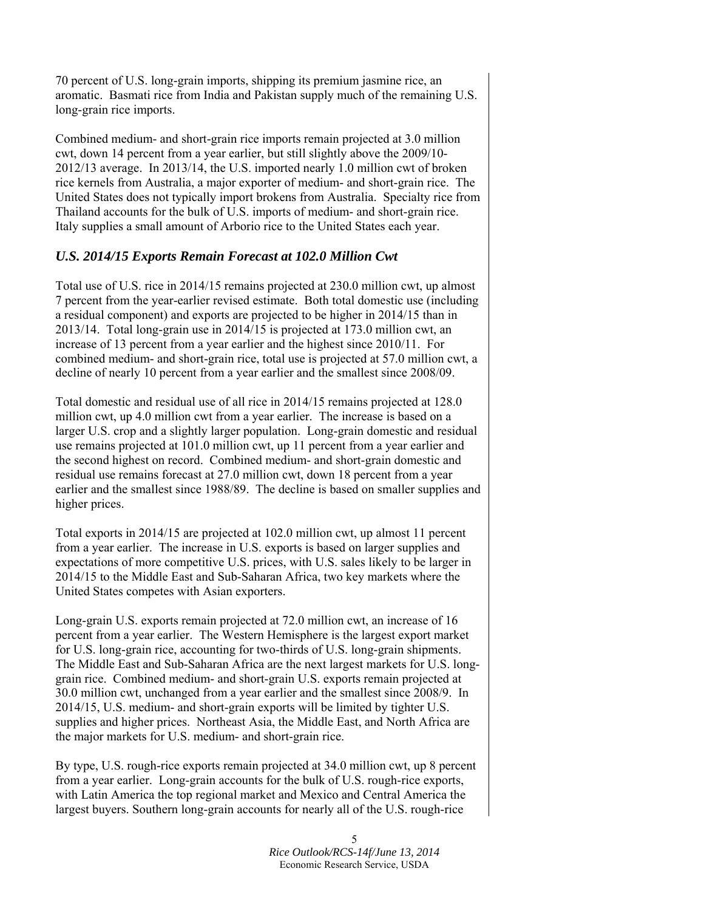70 percent of U.S. long-grain imports, shipping its premium jasmine rice, an aromatic. Basmati rice from India and Pakistan supply much of the remaining U.S. long-grain rice imports.

Combined medium- and short-grain rice imports remain projected at 3.0 million cwt, down 14 percent from a year earlier, but still slightly above the 2009/10- 2012/13 average. In 2013/14, the U.S. imported nearly 1.0 million cwt of broken rice kernels from Australia, a major exporter of medium- and short-grain rice. The United States does not typically import brokens from Australia. Specialty rice from Thailand accounts for the bulk of U.S. imports of medium- and short-grain rice. Italy supplies a small amount of Arborio rice to the United States each year.

#### *U.S. 2014/15 Exports Remain Forecast at 102.0 Million Cwt*

Total use of U.S. rice in 2014/15 remains projected at 230.0 million cwt, up almost 7 percent from the year-earlier revised estimate. Both total domestic use (including a residual component) and exports are projected to be higher in 2014/15 than in 2013/14. Total long-grain use in 2014/15 is projected at 173.0 million cwt, an increase of 13 percent from a year earlier and the highest since 2010/11. For combined medium- and short-grain rice, total use is projected at 57.0 million cwt, a decline of nearly 10 percent from a year earlier and the smallest since 2008/09.

Total domestic and residual use of all rice in 2014/15 remains projected at 128.0 million cwt, up 4.0 million cwt from a year earlier. The increase is based on a larger U.S. crop and a slightly larger population. Long-grain domestic and residual use remains projected at 101.0 million cwt, up 11 percent from a year earlier and the second highest on record. Combined medium- and short-grain domestic and residual use remains forecast at 27.0 million cwt, down 18 percent from a year earlier and the smallest since 1988/89. The decline is based on smaller supplies and higher prices.

Total exports in 2014/15 are projected at 102.0 million cwt, up almost 11 percent from a year earlier. The increase in U.S. exports is based on larger supplies and expectations of more competitive U.S. prices, with U.S. sales likely to be larger in 2014/15 to the Middle East and Sub-Saharan Africa, two key markets where the United States competes with Asian exporters.

Long-grain U.S. exports remain projected at 72.0 million cwt, an increase of 16 percent from a year earlier. The Western Hemisphere is the largest export market for U.S. long-grain rice, accounting for two-thirds of U.S. long-grain shipments. The Middle East and Sub-Saharan Africa are the next largest markets for U.S. longgrain rice. Combined medium- and short-grain U.S. exports remain projected at 30.0 million cwt, unchanged from a year earlier and the smallest since 2008/9. In 2014/15, U.S. medium- and short-grain exports will be limited by tighter U.S. supplies and higher prices. Northeast Asia, the Middle East, and North Africa are the major markets for U.S. medium- and short-grain rice.

By type, U.S. rough-rice exports remain projected at 34.0 million cwt, up 8 percent from a year earlier. Long-grain accounts for the bulk of U.S. rough-rice exports, with Latin America the top regional market and Mexico and Central America the largest buyers. Southern long-grain accounts for nearly all of the U.S. rough-rice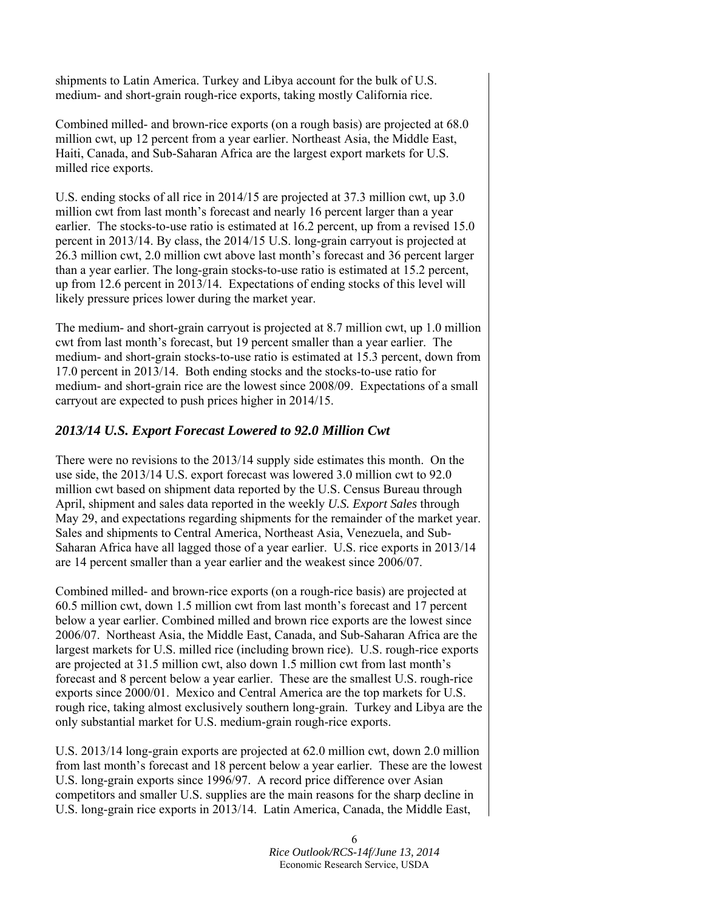shipments to Latin America. Turkey and Libya account for the bulk of U.S. medium- and short-grain rough-rice exports, taking mostly California rice.

Combined milled- and brown-rice exports (on a rough basis) are projected at 68.0 million cwt, up 12 percent from a year earlier. Northeast Asia, the Middle East, Haiti, Canada, and Sub-Saharan Africa are the largest export markets for U.S. milled rice exports.

U.S. ending stocks of all rice in 2014/15 are projected at 37.3 million cwt, up 3.0 million cwt from last month's forecast and nearly 16 percent larger than a year earlier. The stocks-to-use ratio is estimated at 16.2 percent, up from a revised 15.0 percent in 2013/14. By class, the 2014/15 U.S. long-grain carryout is projected at 26.3 million cwt, 2.0 million cwt above last month's forecast and 36 percent larger than a year earlier. The long-grain stocks-to-use ratio is estimated at 15.2 percent, up from 12.6 percent in 2013/14. Expectations of ending stocks of this level will likely pressure prices lower during the market year.

The medium- and short-grain carryout is projected at 8.7 million cwt, up 1.0 million cwt from last month's forecast, but 19 percent smaller than a year earlier. The medium- and short-grain stocks-to-use ratio is estimated at 15.3 percent, down from 17.0 percent in 2013/14. Both ending stocks and the stocks-to-use ratio for medium- and short-grain rice are the lowest since 2008/09. Expectations of a small carryout are expected to push prices higher in 2014/15.

### *2013/14 U.S. Export Forecast Lowered to 92.0 Million Cwt*

There were no revisions to the 2013/14 supply side estimates this month. On the use side, the 2013/14 U.S. export forecast was lowered 3.0 million cwt to 92.0 million cwt based on shipment data reported by the U.S. Census Bureau through April, shipment and sales data reported in the weekly *U.S. Export Sales* through May 29, and expectations regarding shipments for the remainder of the market year. Sales and shipments to Central America, Northeast Asia, Venezuela, and Sub-Saharan Africa have all lagged those of a year earlier. U.S. rice exports in 2013/14 are 14 percent smaller than a year earlier and the weakest since 2006/07.

Combined milled- and brown-rice exports (on a rough-rice basis) are projected at 60.5 million cwt, down 1.5 million cwt from last month's forecast and 17 percent below a year earlier. Combined milled and brown rice exports are the lowest since 2006/07. Northeast Asia, the Middle East, Canada, and Sub-Saharan Africa are the largest markets for U.S. milled rice (including brown rice). U.S. rough-rice exports are projected at 31.5 million cwt, also down 1.5 million cwt from last month's forecast and 8 percent below a year earlier. These are the smallest U.S. rough-rice exports since 2000/01. Mexico and Central America are the top markets for U.S. rough rice, taking almost exclusively southern long-grain. Turkey and Libya are the only substantial market for U.S. medium-grain rough-rice exports.

U.S. 2013/14 long-grain exports are projected at 62.0 million cwt, down 2.0 million from last month's forecast and 18 percent below a year earlier. These are the lowest U.S. long-grain exports since 1996/97. A record price difference over Asian competitors and smaller U.S. supplies are the main reasons for the sharp decline in U.S. long-grain rice exports in 2013/14. Latin America, Canada, the Middle East,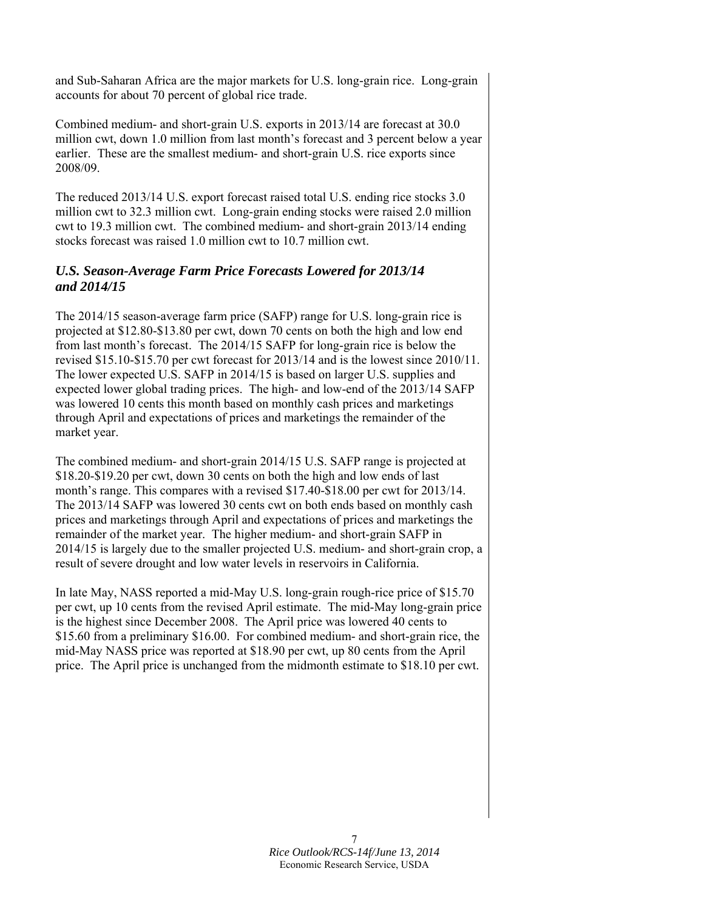and Sub-Saharan Africa are the major markets for U.S. long-grain rice. Long-grain accounts for about 70 percent of global rice trade.

Combined medium- and short-grain U.S. exports in 2013/14 are forecast at 30.0 million cwt, down 1.0 million from last month's forecast and 3 percent below a year earlier. These are the smallest medium- and short-grain U.S. rice exports since 2008/09.

The reduced 2013/14 U.S. export forecast raised total U.S. ending rice stocks 3.0 million cwt to 32.3 million cwt. Long-grain ending stocks were raised 2.0 million cwt to 19.3 million cwt. The combined medium- and short-grain 2013/14 ending stocks forecast was raised 1.0 million cwt to 10.7 million cwt.

### *U.S. Season-Average Farm Price Forecasts Lowered for 2013/14 and 2014/15*

The 2014/15 season-average farm price (SAFP) range for U.S. long-grain rice is projected at \$12.80-\$13.80 per cwt, down 70 cents on both the high and low end from last month's forecast. The 2014/15 SAFP for long-grain rice is below the revised \$15.10-\$15.70 per cwt forecast for 2013/14 and is the lowest since 2010/11. The lower expected U.S. SAFP in 2014/15 is based on larger U.S. supplies and expected lower global trading prices. The high- and low-end of the 2013/14 SAFP was lowered 10 cents this month based on monthly cash prices and marketings through April and expectations of prices and marketings the remainder of the market year.

The combined medium- and short-grain 2014/15 U.S. SAFP range is projected at \$18.20-\$19.20 per cwt, down 30 cents on both the high and low ends of last month's range. This compares with a revised \$17.40-\$18.00 per cwt for 2013/14. The 2013/14 SAFP was lowered 30 cents cwt on both ends based on monthly cash prices and marketings through April and expectations of prices and marketings the remainder of the market year. The higher medium- and short-grain SAFP in 2014/15 is largely due to the smaller projected U.S. medium- and short-grain crop, a result of severe drought and low water levels in reservoirs in California.

In late May, NASS reported a mid-May U.S. long-grain rough-rice price of \$15.70 per cwt, up 10 cents from the revised April estimate. The mid-May long-grain price is the highest since December 2008. The April price was lowered 40 cents to \$15.60 from a preliminary \$16.00. For combined medium- and short-grain rice, the mid-May NASS price was reported at \$18.90 per cwt, up 80 cents from the April price. The April price is unchanged from the midmonth estimate to \$18.10 per cwt.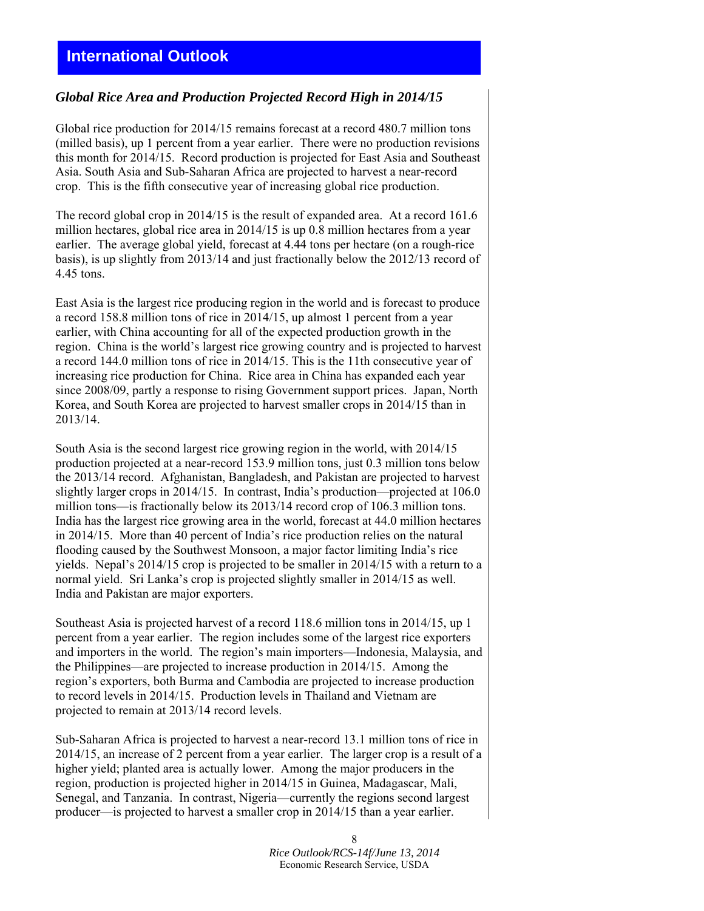## **International Outlook**

#### *Global Rice Area and Production Projected Record High in 2014/15*

Global rice production for 2014/15 remains forecast at a record 480.7 million tons (milled basis), up 1 percent from a year earlier. There were no production revisions this month for 2014/15. Record production is projected for East Asia and Southeast Asia. South Asia and Sub-Saharan Africa are projected to harvest a near-record crop. This is the fifth consecutive year of increasing global rice production.

The record global crop in 2014/15 is the result of expanded area. At a record 161.6 million hectares, global rice area in 2014/15 is up 0.8 million hectares from a year earlier. The average global yield, forecast at 4.44 tons per hectare (on a rough-rice basis), is up slightly from 2013/14 and just fractionally below the 2012/13 record of 4.45 tons.

East Asia is the largest rice producing region in the world and is forecast to produce a record 158.8 million tons of rice in 2014/15, up almost 1 percent from a year earlier, with China accounting for all of the expected production growth in the region. China is the world's largest rice growing country and is projected to harvest a record 144.0 million tons of rice in 2014/15. This is the 11th consecutive year of increasing rice production for China. Rice area in China has expanded each year since 2008/09, partly a response to rising Government support prices. Japan, North Korea, and South Korea are projected to harvest smaller crops in 2014/15 than in 2013/14.

South Asia is the second largest rice growing region in the world, with 2014/15 production projected at a near-record 153.9 million tons, just 0.3 million tons below the 2013/14 record. Afghanistan, Bangladesh, and Pakistan are projected to harvest slightly larger crops in 2014/15. In contrast, India's production—projected at 106.0 million tons—is fractionally below its 2013/14 record crop of 106.3 million tons. India has the largest rice growing area in the world, forecast at 44.0 million hectares in 2014/15. More than 40 percent of India's rice production relies on the natural flooding caused by the Southwest Monsoon, a major factor limiting India's rice yields. Nepal's 2014/15 crop is projected to be smaller in 2014/15 with a return to a normal yield. Sri Lanka's crop is projected slightly smaller in 2014/15 as well. India and Pakistan are major exporters.

Southeast Asia is projected harvest of a record 118.6 million tons in 2014/15, up 1 percent from a year earlier. The region includes some of the largest rice exporters and importers in the world. The region's main importers—Indonesia, Malaysia, and the Philippines—are projected to increase production in 2014/15. Among the region's exporters, both Burma and Cambodia are projected to increase production to record levels in 2014/15. Production levels in Thailand and Vietnam are projected to remain at 2013/14 record levels.

Sub-Saharan Africa is projected to harvest a near-record 13.1 million tons of rice in 2014/15, an increase of 2 percent from a year earlier. The larger crop is a result of a higher yield; planted area is actually lower. Among the major producers in the region, production is projected higher in 2014/15 in Guinea, Madagascar, Mali, Senegal, and Tanzania. In contrast, Nigeria—currently the regions second largest producer—is projected to harvest a smaller crop in 2014/15 than a year earlier.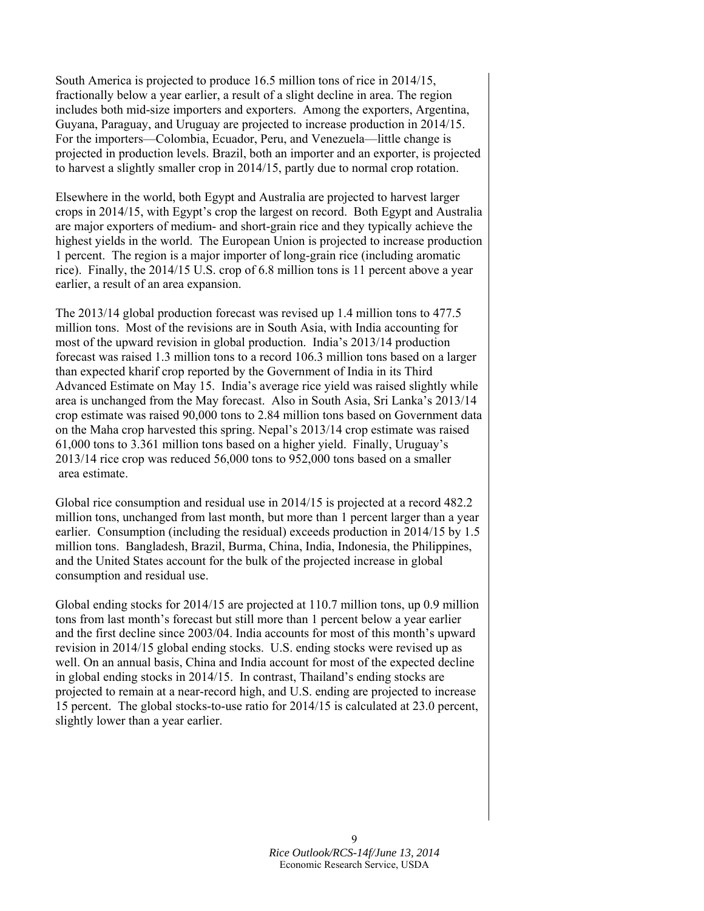South America is projected to produce 16.5 million tons of rice in 2014/15, fractionally below a year earlier, a result of a slight decline in area. The region includes both mid-size importers and exporters. Among the exporters, Argentina, Guyana, Paraguay, and Uruguay are projected to increase production in 2014/15. For the importers—Colombia, Ecuador, Peru, and Venezuela—little change is projected in production levels. Brazil, both an importer and an exporter, is projected to harvest a slightly smaller crop in 2014/15, partly due to normal crop rotation.

Elsewhere in the world, both Egypt and Australia are projected to harvest larger crops in 2014/15, with Egypt's crop the largest on record. Both Egypt and Australia are major exporters of medium- and short-grain rice and they typically achieve the highest yields in the world. The European Union is projected to increase production 1 percent. The region is a major importer of long-grain rice (including aromatic rice). Finally, the 2014/15 U.S. crop of 6.8 million tons is 11 percent above a year earlier, a result of an area expansion.

The 2013/14 global production forecast was revised up 1.4 million tons to 477.5 million tons. Most of the revisions are in South Asia, with India accounting for most of the upward revision in global production. India's 2013/14 production forecast was raised 1.3 million tons to a record 106.3 million tons based on a larger than expected kharif crop reported by the Government of India in its Third Advanced Estimate on May 15. India's average rice yield was raised slightly while area is unchanged from the May forecast. Also in South Asia, Sri Lanka's 2013/14 crop estimate was raised 90,000 tons to 2.84 million tons based on Government data on the Maha crop harvested this spring. Nepal's 2013/14 crop estimate was raised 61,000 tons to 3.361 million tons based on a higher yield. Finally, Uruguay's 2013/14 rice crop was reduced 56,000 tons to 952,000 tons based on a smaller area estimate.

Global rice consumption and residual use in 2014/15 is projected at a record 482.2 million tons, unchanged from last month, but more than 1 percent larger than a year earlier. Consumption (including the residual) exceeds production in 2014/15 by 1.5 million tons. Bangladesh, Brazil, Burma, China, India, Indonesia, the Philippines, and the United States account for the bulk of the projected increase in global consumption and residual use.

Global ending stocks for 2014/15 are projected at 110.7 million tons, up 0.9 million tons from last month's forecast but still more than 1 percent below a year earlier and the first decline since 2003/04. India accounts for most of this month's upward revision in 2014/15 global ending stocks. U.S. ending stocks were revised up as well. On an annual basis, China and India account for most of the expected decline in global ending stocks in 2014/15. In contrast, Thailand's ending stocks are projected to remain at a near-record high, and U.S. ending are projected to increase 15 percent. The global stocks-to-use ratio for 2014/15 is calculated at 23.0 percent, slightly lower than a year earlier.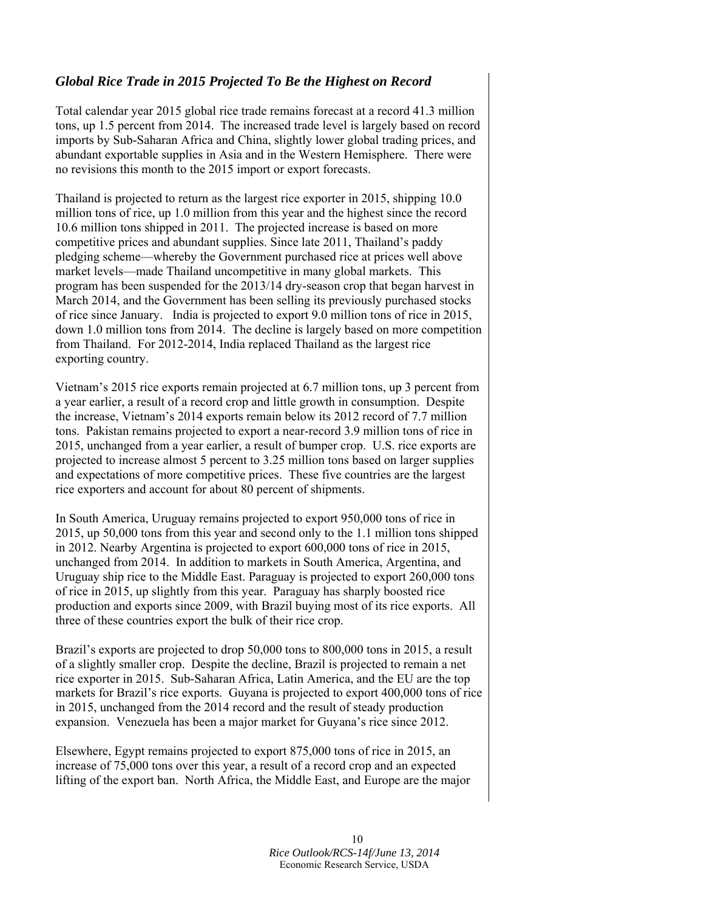### *Global Rice Trade in 2015 Projected To Be the Highest on Record*

Total calendar year 2015 global rice trade remains forecast at a record 41.3 million tons, up 1.5 percent from 2014. The increased trade level is largely based on record imports by Sub-Saharan Africa and China, slightly lower global trading prices, and abundant exportable supplies in Asia and in the Western Hemisphere. There were no revisions this month to the 2015 import or export forecasts.

Thailand is projected to return as the largest rice exporter in 2015, shipping 10.0 million tons of rice, up 1.0 million from this year and the highest since the record 10.6 million tons shipped in 2011. The projected increase is based on more competitive prices and abundant supplies. Since late 2011, Thailand's paddy pledging scheme—whereby the Government purchased rice at prices well above market levels—made Thailand uncompetitive in many global markets. This program has been suspended for the 2013/14 dry-season crop that began harvest in March 2014, and the Government has been selling its previously purchased stocks of rice since January. India is projected to export 9.0 million tons of rice in 2015, down 1.0 million tons from 2014. The decline is largely based on more competition from Thailand. For 2012-2014, India replaced Thailand as the largest rice exporting country.

Vietnam's 2015 rice exports remain projected at 6.7 million tons, up 3 percent from a year earlier, a result of a record crop and little growth in consumption. Despite the increase, Vietnam's 2014 exports remain below its 2012 record of 7.7 million tons. Pakistan remains projected to export a near-record 3.9 million tons of rice in 2015, unchanged from a year earlier, a result of bumper crop. U.S. rice exports are projected to increase almost 5 percent to 3.25 million tons based on larger supplies and expectations of more competitive prices. These five countries are the largest rice exporters and account for about 80 percent of shipments.

In South America, Uruguay remains projected to export 950,000 tons of rice in 2015, up 50,000 tons from this year and second only to the 1.1 million tons shipped in 2012. Nearby Argentina is projected to export 600,000 tons of rice in 2015, unchanged from 2014. In addition to markets in South America, Argentina, and Uruguay ship rice to the Middle East. Paraguay is projected to export 260,000 tons of rice in 2015, up slightly from this year. Paraguay has sharply boosted rice production and exports since 2009, with Brazil buying most of its rice exports. All three of these countries export the bulk of their rice crop.

Brazil's exports are projected to drop 50,000 tons to 800,000 tons in 2015, a result of a slightly smaller crop. Despite the decline, Brazil is projected to remain a net rice exporter in 2015. Sub-Saharan Africa, Latin America, and the EU are the top markets for Brazil's rice exports. Guyana is projected to export 400,000 tons of rice in 2015, unchanged from the 2014 record and the result of steady production expansion. Venezuela has been a major market for Guyana's rice since 2012.

Elsewhere, Egypt remains projected to export 875,000 tons of rice in 2015, an increase of 75,000 tons over this year, a result of a record crop and an expected lifting of the export ban. North Africa, the Middle East, and Europe are the major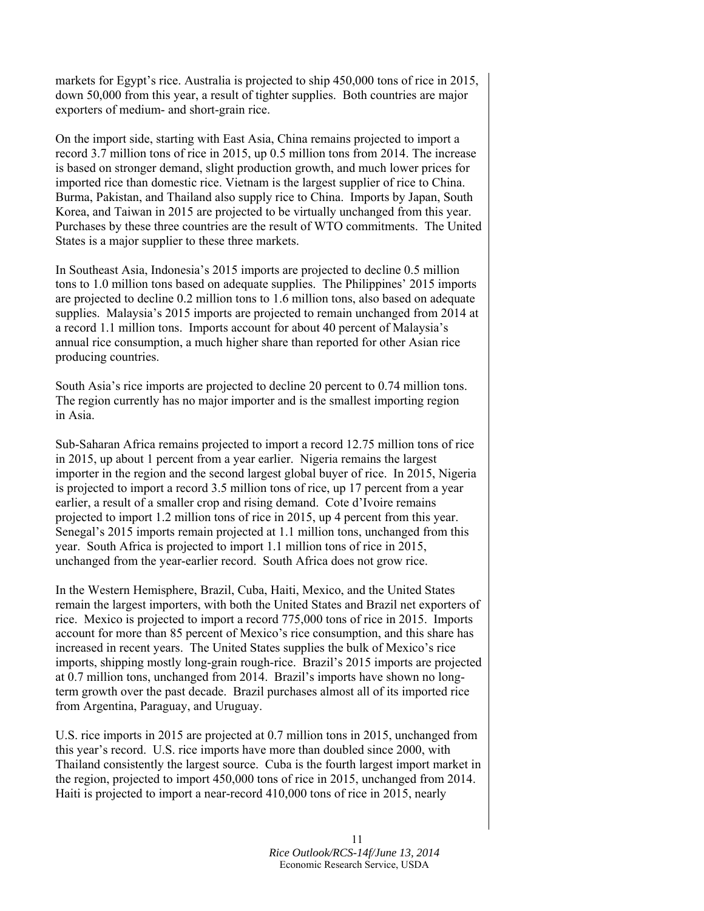markets for Egypt's rice. Australia is projected to ship 450,000 tons of rice in 2015, down 50,000 from this year, a result of tighter supplies. Both countries are major exporters of medium- and short-grain rice.

On the import side, starting with East Asia, China remains projected to import a record 3.7 million tons of rice in 2015, up 0.5 million tons from 2014. The increase is based on stronger demand, slight production growth, and much lower prices for imported rice than domestic rice. Vietnam is the largest supplier of rice to China. Burma, Pakistan, and Thailand also supply rice to China. Imports by Japan, South Korea, and Taiwan in 2015 are projected to be virtually unchanged from this year. Purchases by these three countries are the result of WTO commitments. The United States is a major supplier to these three markets.

In Southeast Asia, Indonesia's 2015 imports are projected to decline 0.5 million tons to 1.0 million tons based on adequate supplies. The Philippines' 2015 imports are projected to decline 0.2 million tons to 1.6 million tons, also based on adequate supplies. Malaysia's 2015 imports are projected to remain unchanged from 2014 at a record 1.1 million tons. Imports account for about 40 percent of Malaysia's annual rice consumption, a much higher share than reported for other Asian rice producing countries.

South Asia's rice imports are projected to decline 20 percent to 0.74 million tons. The region currently has no major importer and is the smallest importing region in Asia.

Sub-Saharan Africa remains projected to import a record 12.75 million tons of rice in 2015, up about 1 percent from a year earlier. Nigeria remains the largest importer in the region and the second largest global buyer of rice. In 2015, Nigeria is projected to import a record 3.5 million tons of rice, up 17 percent from a year earlier, a result of a smaller crop and rising demand. Cote d'Ivoire remains projected to import 1.2 million tons of rice in 2015, up 4 percent from this year. Senegal's 2015 imports remain projected at 1.1 million tons, unchanged from this year. South Africa is projected to import 1.1 million tons of rice in 2015, unchanged from the year-earlier record. South Africa does not grow rice.

In the Western Hemisphere, Brazil, Cuba, Haiti, Mexico, and the United States remain the largest importers, with both the United States and Brazil net exporters of rice. Mexico is projected to import a record 775,000 tons of rice in 2015. Imports account for more than 85 percent of Mexico's rice consumption, and this share has increased in recent years. The United States supplies the bulk of Mexico's rice imports, shipping mostly long-grain rough-rice. Brazil's 2015 imports are projected at 0.7 million tons, unchanged from 2014. Brazil's imports have shown no longterm growth over the past decade. Brazil purchases almost all of its imported rice from Argentina, Paraguay, and Uruguay.

U.S. rice imports in 2015 are projected at 0.7 million tons in 2015, unchanged from this year's record. U.S. rice imports have more than doubled since 2000, with Thailand consistently the largest source. Cuba is the fourth largest import market in the region, projected to import 450,000 tons of rice in 2015, unchanged from 2014. Haiti is projected to import a near-record 410,000 tons of rice in 2015, nearly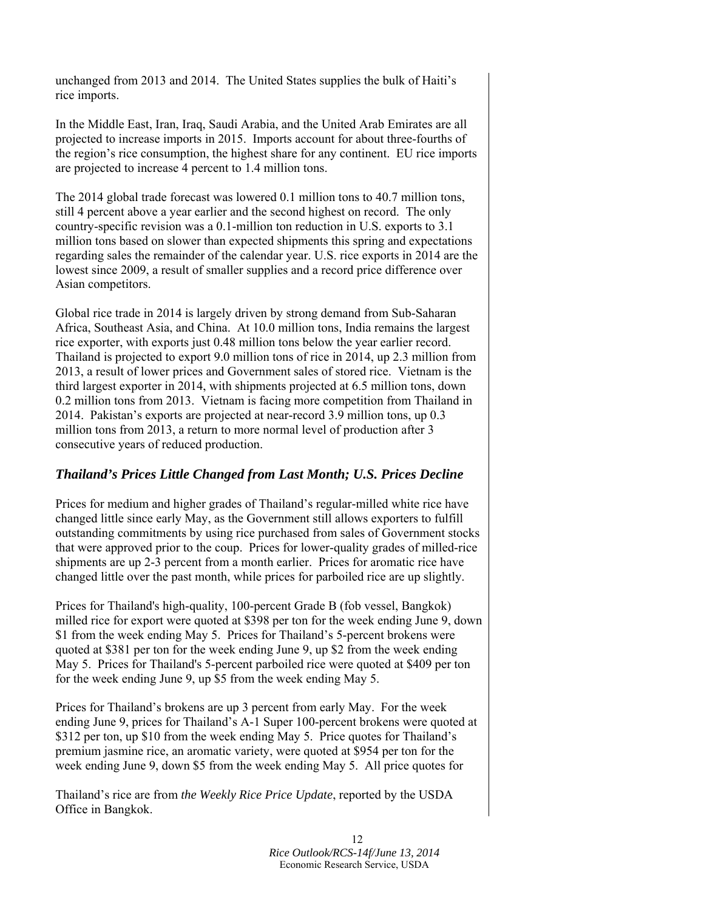unchanged from 2013 and 2014. The United States supplies the bulk of Haiti's rice imports.

In the Middle East, Iran, Iraq, Saudi Arabia, and the United Arab Emirates are all projected to increase imports in 2015. Imports account for about three-fourths of the region's rice consumption, the highest share for any continent. EU rice imports are projected to increase 4 percent to 1.4 million tons.

The 2014 global trade forecast was lowered 0.1 million tons to 40.7 million tons, still 4 percent above a year earlier and the second highest on record. The only country-specific revision was a 0.1-million ton reduction in U.S. exports to 3.1 million tons based on slower than expected shipments this spring and expectations regarding sales the remainder of the calendar year. U.S. rice exports in 2014 are the lowest since 2009, a result of smaller supplies and a record price difference over Asian competitors.

Global rice trade in 2014 is largely driven by strong demand from Sub-Saharan Africa, Southeast Asia, and China. At 10.0 million tons, India remains the largest rice exporter, with exports just 0.48 million tons below the year earlier record. Thailand is projected to export 9.0 million tons of rice in 2014, up 2.3 million from 2013, a result of lower prices and Government sales of stored rice. Vietnam is the third largest exporter in 2014, with shipments projected at 6.5 million tons, down 0.2 million tons from 2013. Vietnam is facing more competition from Thailand in 2014. Pakistan's exports are projected at near-record 3.9 million tons, up 0.3 million tons from 2013, a return to more normal level of production after 3 consecutive years of reduced production.

#### *Thailand's Prices Little Changed from Last Month; U.S. Prices Decline*

Prices for medium and higher grades of Thailand's regular-milled white rice have changed little since early May, as the Government still allows exporters to fulfill outstanding commitments by using rice purchased from sales of Government stocks that were approved prior to the coup. Prices for lower-quality grades of milled-rice shipments are up 2-3 percent from a month earlier. Prices for aromatic rice have changed little over the past month, while prices for parboiled rice are up slightly.

Prices for Thailand's high-quality, 100-percent Grade B (fob vessel, Bangkok) milled rice for export were quoted at \$398 per ton for the week ending June 9, down \$1 from the week ending May 5. Prices for Thailand's 5-percent brokens were quoted at \$381 per ton for the week ending June 9, up \$2 from the week ending May 5. Prices for Thailand's 5-percent parboiled rice were quoted at \$409 per ton for the week ending June 9, up \$5 from the week ending May 5.

Prices for Thailand's brokens are up 3 percent from early May. For the week ending June 9, prices for Thailand's A-1 Super 100-percent brokens were quoted at \$312 per ton, up \$10 from the week ending May 5. Price quotes for Thailand's premium jasmine rice, an aromatic variety, were quoted at \$954 per ton for the week ending June 9, down \$5 from the week ending May 5. All price quotes for

Thailand's rice are from *the Weekly Rice Price Update*, reported by the USDA Office in Bangkok.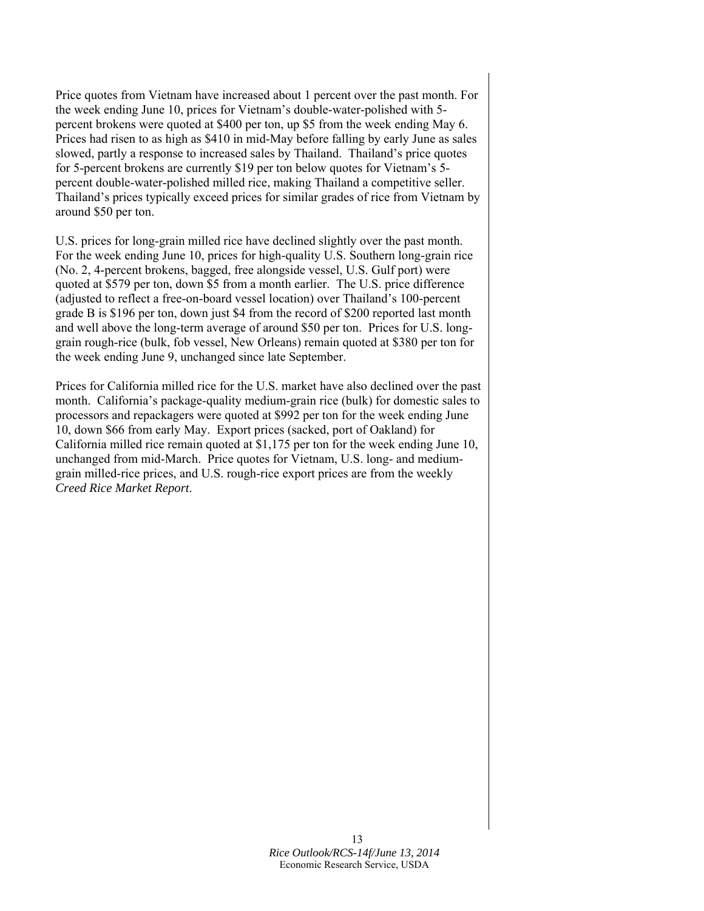Price quotes from Vietnam have increased about 1 percent over the past month. For the week ending June 10, prices for Vietnam's double-water-polished with 5 percent brokens were quoted at \$400 per ton, up \$5 from the week ending May 6. Prices had risen to as high as \$410 in mid-May before falling by early June as sales slowed, partly a response to increased sales by Thailand. Thailand's price quotes for 5-percent brokens are currently \$19 per ton below quotes for Vietnam's 5 percent double-water-polished milled rice, making Thailand a competitive seller. Thailand's prices typically exceed prices for similar grades of rice from Vietnam by around \$50 per ton.

U.S. prices for long-grain milled rice have declined slightly over the past month. For the week ending June 10, prices for high-quality U.S. Southern long-grain rice (No. 2, 4-percent brokens, bagged, free alongside vessel, U.S. Gulf port) were quoted at \$579 per ton, down \$5 from a month earlier. The U.S. price difference (adjusted to reflect a free-on-board vessel location) over Thailand's 100-percent grade B is \$196 per ton, down just \$4 from the record of \$200 reported last month and well above the long-term average of around \$50 per ton. Prices for U.S. longgrain rough-rice (bulk, fob vessel, New Orleans) remain quoted at \$380 per ton for the week ending June 9, unchanged since late September.

Prices for California milled rice for the U.S. market have also declined over the past month. California's package-quality medium-grain rice (bulk) for domestic sales to processors and repackagers were quoted at \$992 per ton for the week ending June 10, down \$66 from early May. Export prices (sacked, port of Oakland) for California milled rice remain quoted at \$1,175 per ton for the week ending June 10, unchanged from mid-March. Price quotes for Vietnam, U.S. long- and mediumgrain milled-rice prices, and U.S. rough-rice export prices are from the weekly *Creed Rice Market Report*.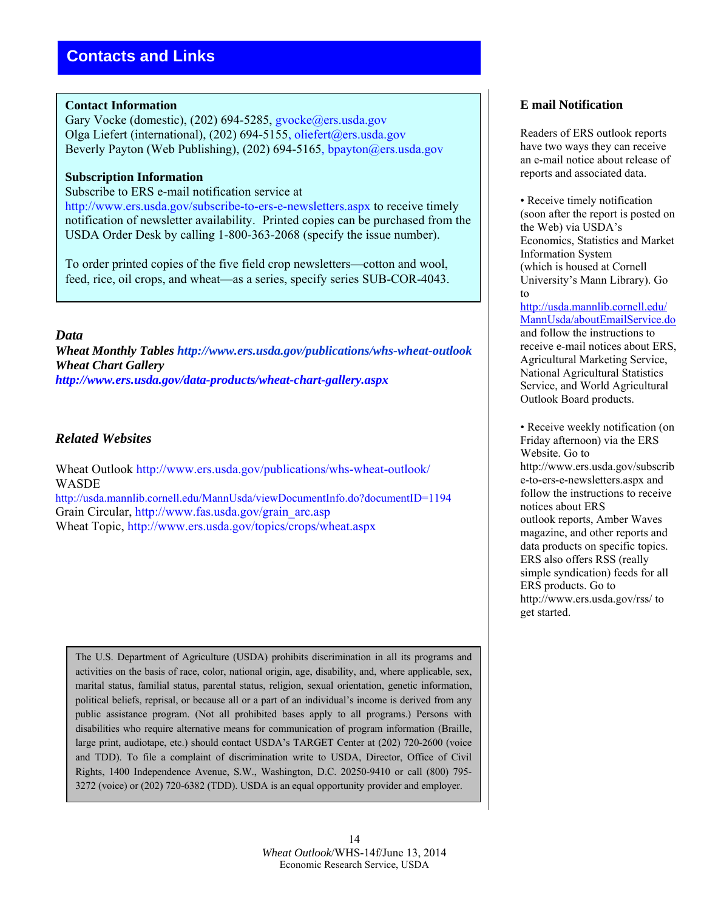#### **Contact Information**

Gary Vocke (domestic), (202) 694-5285, gvocke@ers.usda.gov Olga Liefert (international), (202) 694-5155, oliefert@ers.usda.gov Beverly Payton (Web Publishing), (202) 694-5165, bpayton@ers.usda.gov

#### **Subscription Information**

Subscribe to ERS e-mail notification service at

http://www.ers.usda.gov/subscribe-to-ers-e-newsletters.aspx to receive timely notification of newsletter availability. Printed copies can be purchased from the USDA Order Desk by calling 1-800-363-2068 (specify the issue number).

To order printed copies of the five field crop newsletters—cotton and wool, feed, rice, oil crops, and wheat—as a series, specify series SUB-COR-4043.

#### *Data*

*Wheat Monthly Tables http://www.ers.usda.gov/publications/whs-wheat-outlook Wheat Chart Gallery http://www.ers.usda.gov/data-products/wheat-chart-gallery.aspx* 

#### *Related Websites*

Wheat Outlook http://www.ers.usda.gov/publications/whs-wheat-outlook/ WASDE http://usda.mannlib.cornell.edu/MannUsda/viewDocumentInfo.do?documentID=1194

Grain Circular, http://www.fas.usda.gov/grain\_arc.asp

Wheat Topic, http://www.ers.usda.gov/topics/crops/wheat.aspx

The U.S. Department of Agriculture (USDA) prohibits discrimination in all its programs and activities on the basis of race, color, national origin, age, disability, and, where applicable, sex, marital status, familial status, parental status, religion, sexual orientation, genetic information, political beliefs, reprisal, or because all or a part of an individual's income is derived from any public assistance program. (Not all prohibited bases apply to all programs.) Persons with disabilities who require alternative means for communication of program information (Braille, large print, audiotape, etc.) should contact USDA's TARGET Center at (202) 720-2600 (voice and TDD). To file a complaint of discrimination write to USDA, Director, Office of Civil Rights, 1400 Independence Avenue, S.W., Washington, D.C. 20250-9410 or call (800) 795- 3272 (voice) or (202) 720-6382 (TDD). USDA is an equal opportunity provider and employer.

#### **E mail Notification**

Readers of ERS outlook reports have two ways they can receive an e-mail notice about release of reports and associated data.

• Receive timely notification (soon after the report is posted on the Web) via USDA's Economics, Statistics and Market Information System (which is housed at Cornell University's Mann Library). Go to

http://usda.mannlib.cornell.edu/ MannUsda/aboutEmailService.do and follow the instructions to receive e-mail notices about ERS, Agricultural Marketing Service, National Agricultural Statistics Service, and World Agricultural Outlook Board products.

• Receive weekly notification (on Friday afternoon) via the ERS Website. Go to http://www.ers.usda.gov/subscrib e-to-ers-e-newsletters.aspx and follow the instructions to receive notices about ERS outlook reports, Amber Waves magazine, and other reports and data products on specific topics. ERS also offers RSS (really simple syndication) feeds for all ERS products. Go to http://www.ers.usda.gov/rss/ to get started.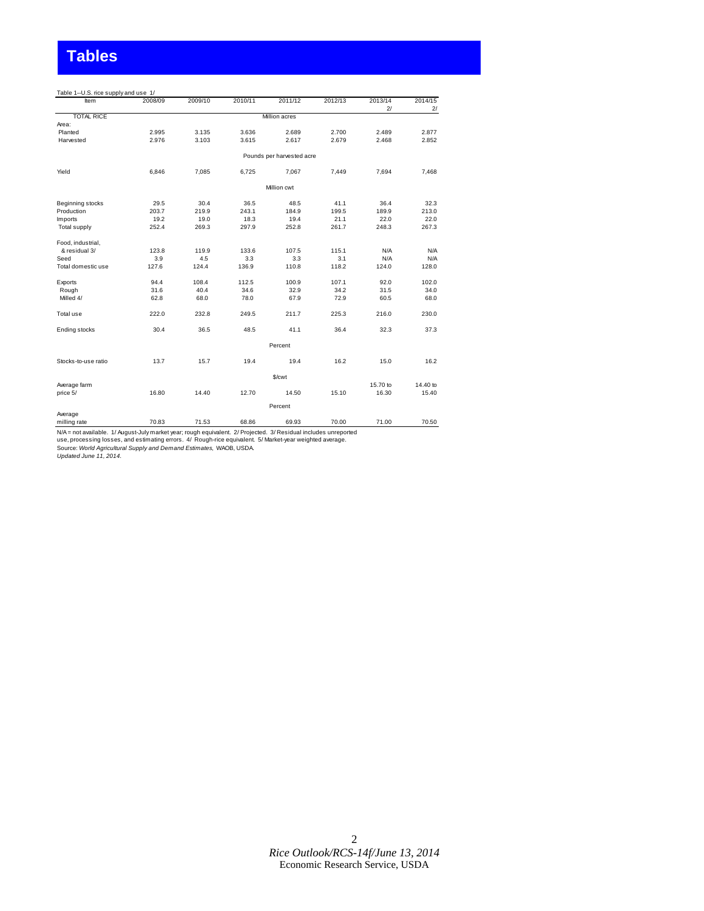# **Tables**

| Table 1--U.S. rice supply and use 1/ |         |         |         |                           |         |          |          |
|--------------------------------------|---------|---------|---------|---------------------------|---------|----------|----------|
| Item                                 | 2008/09 | 2009/10 | 2010/11 | 2011/12                   | 2012/13 | 2013/14  | 2014/15  |
|                                      |         |         |         |                           |         | 2/       | 2/       |
| <b>TOTAL RICE</b>                    |         |         |         | Million acres             |         |          |          |
| Area:                                |         |         |         |                           |         |          |          |
| Planted                              | 2.995   | 3.135   | 3.636   | 2.689                     | 2.700   | 2.489    | 2.877    |
| Harvested                            | 2.976   | 3.103   | 3.615   | 2.617                     | 2.679   | 2.468    | 2.852    |
|                                      |         |         |         | Pounds per harvested acre |         |          |          |
| Yield                                | 6,846   | 7,085   | 6,725   | 7,067                     | 7,449   | 7,694    | 7,468    |
|                                      |         |         |         | Million cwt               |         |          |          |
| Beginning stocks                     | 29.5    | 30.4    | 36.5    | 48.5                      | 41.1    | 36.4     | 32.3     |
| Production                           | 203.7   | 219.9   | 243.1   | 184.9                     | 199.5   | 189.9    | 213.0    |
| Imports                              | 19.2    | 19.0    | 18.3    | 19.4                      | 21.1    | 22.0     | 22.0     |
| <b>Total supply</b>                  | 252.4   | 269.3   | 297.9   | 252.8                     | 261.7   | 248.3    | 267.3    |
| Food, industrial,                    |         |         |         |                           |         |          |          |
| & residual 3/                        | 123.8   | 119.9   | 133.6   | 107.5                     | 115.1   | N/A      | N/A      |
| Seed                                 | 3.9     | 4.5     | 3.3     | 3.3                       | 3.1     | N/A      | N/A      |
| Total domestic use                   | 127.6   | 124.4   | 136.9   | 110.8                     | 118.2   | 124.0    | 128.0    |
| Exports                              | 94.4    | 108.4   | 112.5   | 100.9                     | 107.1   | 92.0     | 102.0    |
| Rough                                | 31.6    | 40.4    | 34.6    | 32.9                      | 34.2    | 31.5     | 34.0     |
| Milled 4/                            | 62.8    | 68.0    | 78.0    | 67.9                      | 72.9    | 60.5     | 68.0     |
| Total use                            | 222.0   | 232.8   | 249.5   | 211.7                     | 225.3   | 216.0    | 230.0    |
| Ending stocks                        | 30.4    | 36.5    | 48.5    | 41.1                      | 36.4    | 32.3     | 37.3     |
|                                      |         |         |         | Percent                   |         |          |          |
| Stocks-to-use ratio                  | 13.7    | 15.7    | 19.4    | 19.4                      | 16.2    | 15.0     | 16.2     |
|                                      |         |         |         | \$/cwt                    |         |          |          |
| Average farm                         |         |         |         |                           |         | 15.70 to | 14.40 to |
| price 5/                             | 16.80   | 14.40   | 12.70   | 14.50                     | 15.10   | 16.30    | 15.40    |
|                                      |         |         |         | Percent                   |         |          |          |
| Average                              |         |         |         |                           |         |          |          |
| milling rate                         | 70.83   | 71.53   | 68.86   | 69.93                     | 70.00   | 71.00    | 70.50    |

milling rate 70.83 71.53 68.86 69.93 70.00 71.00 70.50

N/A = not available. 1/ August-July market year; rough equivalent. 2/ Projected. 3/ Residual includes unreported<br>use, processing losses, and estimating errors. 4/ Rough-rice equivalent. 5/ Market-year weighted average.<br>Sou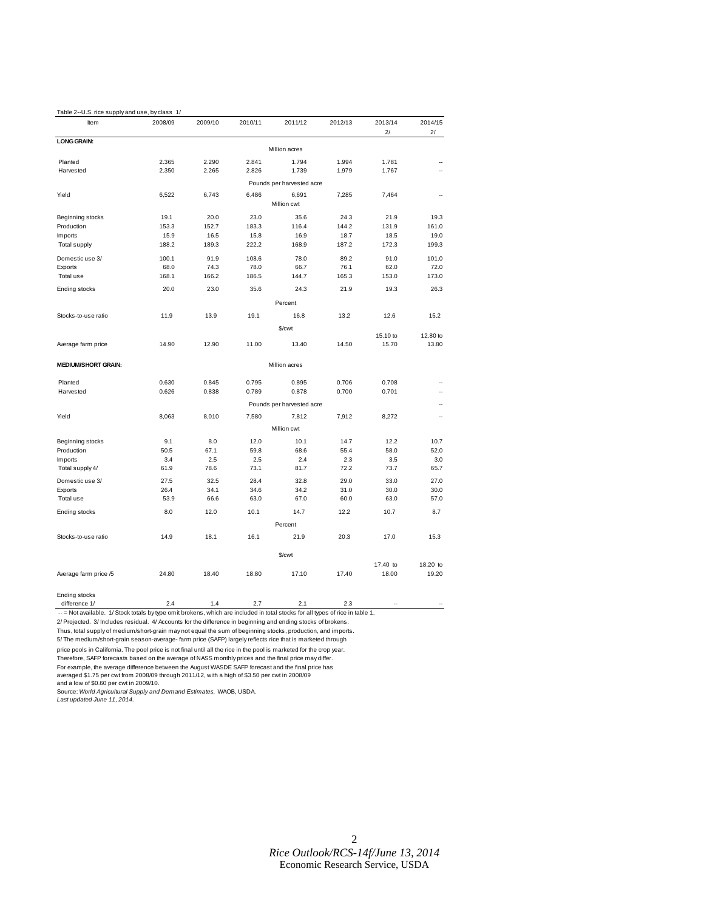| Table 2--U.S. rice supply and use, by class 1/                                                                                |              |              |              |                           |              |              |              |
|-------------------------------------------------------------------------------------------------------------------------------|--------------|--------------|--------------|---------------------------|--------------|--------------|--------------|
| Item                                                                                                                          | 2008/09      | 2009/10      | 2010/11      | 2011/12                   | 2012/13      | 2013/14      | 2014/15      |
|                                                                                                                               |              |              |              |                           |              | 2/           | 2/           |
| <b>LONG GRAIN:</b>                                                                                                            |              |              |              | Million acres             |              |              |              |
| Planted                                                                                                                       | 2.365        | 2.290        | 2.841        | 1.794                     | 1.994        | 1.781        |              |
| Harvested                                                                                                                     | 2.350        | 2.265        | 2.826        | 1.739                     | 1.979        | 1.767        |              |
|                                                                                                                               |              |              |              | Pounds per harvested acre |              |              |              |
| Yield                                                                                                                         | 6,522        | 6,743        | 6,486        | 6,691                     | 7,285        | 7,464        |              |
|                                                                                                                               |              |              |              | Million cwt               |              |              |              |
| Beginning stocks                                                                                                              | 19.1         | 20.0         | 23.0         | 35.6                      | 24.3         | 21.9         | 19.3         |
| Production                                                                                                                    | 153.3        | 152.7        | 183.3        | 116.4                     | 144.2        | 131.9        | 161.0        |
| Imports                                                                                                                       | 15.9         | 16.5         | 15.8         | 16.9                      | 18.7         | 18.5         | 19.0         |
| <b>Total supply</b>                                                                                                           | 188.2        | 189.3        | 222.2        | 168.9                     | 187.2        | 172.3        | 199.3        |
| Domestic use 3/                                                                                                               | 100.1        | 91.9         | 108.6        | 78.0                      | 89.2         | 91.0         | 101.0        |
| Exports                                                                                                                       | 68.0         | 74.3         | 78.0         | 66.7                      | 76.1         | 62.0         | 72.0         |
| Total use                                                                                                                     | 168.1        | 166.2        | 186.5        | 144.7                     | 165.3        | 153.0        | 173.0        |
| Ending stocks                                                                                                                 | 20.0         | 23.0         | 35.6         | 24.3                      | 21.9         | 19.3         | 26.3         |
|                                                                                                                               |              |              |              | Percent                   |              |              |              |
| Stocks-to-use ratio                                                                                                           | 11.9         | 13.9         | 19.1         | 16.8                      | 13.2         | 12.6         | 15.2         |
|                                                                                                                               |              |              |              | \$/cwt                    |              |              |              |
|                                                                                                                               |              |              |              |                           |              | 15.10 to     | 12.80 to     |
| Average farm price                                                                                                            | 14.90        | 12.90        | 11.00        | 13.40                     | 14.50        | 15.70        | 13.80        |
| <b>MEDIUM/SHORT GRAIN:</b>                                                                                                    |              |              |              | Million acres             |              |              |              |
|                                                                                                                               | 0.630        | 0.845        | 0.795        | 0.895                     | 0.706        | 0.708        |              |
| Planted<br>Harvested                                                                                                          | 0.626        | 0.838        | 0.789        | 0.878                     | 0.700        | 0.701        | ٠.           |
|                                                                                                                               |              |              |              | Pounds per harvested acre |              |              | --           |
| Yield                                                                                                                         | 8,063        | 8,010        | 7,580        | 7,812                     | 7,912        | 8,272        | ٠.           |
|                                                                                                                               |              |              |              | Million cwt               |              |              |              |
|                                                                                                                               |              |              |              |                           |              |              |              |
| Beginning stocks                                                                                                              | 9.1          | 8.0          | 12.0         | 10.1                      | 14.7         | 12.2         | 10.7         |
| Production                                                                                                                    | 50.5         | 67.1         | 59.8         | 68.6                      | 55.4         | 58.0         | 52.0         |
| Imports<br>Total supply 4/                                                                                                    | 3.4<br>61.9  | 2.5<br>78.6  | 2.5<br>73.1  | 2.4<br>81.7               | 2.3<br>72.2  | 3.5<br>73.7  | 3.0<br>65.7  |
|                                                                                                                               |              | 32.5         | 28.4         | 32.8                      | 29.0         | 33.0         |              |
| Domestic use 3/                                                                                                               | 27.5         |              |              |                           |              |              | 27.0<br>30.0 |
| Exports<br>Total use                                                                                                          | 26.4<br>53.9 | 34.1<br>66.6 | 34.6<br>63.0 | 34.2<br>67.0              | 31.0<br>60.0 | 30.0<br>63.0 | 57.0         |
| Ending stocks                                                                                                                 | 8.0          | 12.0         | 10.1         | 14.7                      | 12.2         | 10.7         | 8.7          |
|                                                                                                                               |              |              |              | Percent                   |              |              |              |
|                                                                                                                               |              |              |              |                           |              |              |              |
| Stocks-to-use ratio                                                                                                           | 14.9         | 18.1         | 16.1         | 21.9                      | 20.3         | 17.0         | 15.3         |
|                                                                                                                               |              |              |              | \$/cwt                    |              |              |              |
|                                                                                                                               |              |              |              |                           |              | 17.40 to     | 18.20 to     |
| Average farm price /5                                                                                                         | 24.80        | 18.40        | 18.80        | 17.10                     | 17.40        | 18.00        | 19.20        |
| Ending stocks                                                                                                                 |              |              |              |                           |              |              |              |
| difference 1/                                                                                                                 | 2.4          | 1.4          | 2.7          | 2.1                       | 2.3          |              |              |
| -- = Not available. 1/Stock totals by type omit brokens, which are included in total stocks for all types of rice in table 1. |              |              |              |                           |              |              |              |

2/ Projected. 3/ Includes residual. 4/ Accounts for the difference in beginning and ending stocks of brokens.

Thus, total supply of medium/short-grain may not equal the sum of beginning stocks, production, and imports.

5/ The medium/short-grain season-average- farm price (SAFP) largely reflects rice that is marketed through

price pools in California. The pool price is not final until all the rice in the pool is marketed for the crop year.

Therefore, SAFP forecasts based on the average of NASS monthly prices and the final price may differ.

For example, the average difference between the August WASDE SAFP forecast and the final price has averaged \$1.75 per cwt from 2008/09 through 2011/12, with a high of \$3.50 per cwt in 2008/09

and a low of \$0.60 per cwt in 2009/10.

Source: *World Agricultural Supply and Demand Estimates,* WAOB, USDA. *Last updated June 11, 2014.*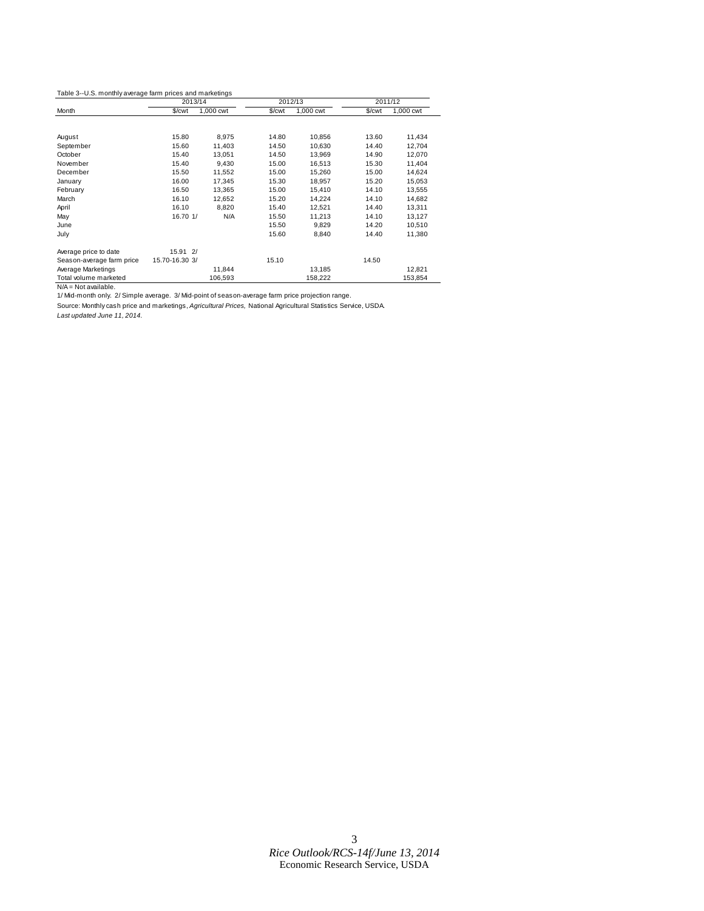|                                                                                                   | 2013/14        |                                                                                                                                                                                                                                                                                                                                                                                                                                              |           | 2012/13 | 2011/12 |         |  |
|---------------------------------------------------------------------------------------------------|----------------|----------------------------------------------------------------------------------------------------------------------------------------------------------------------------------------------------------------------------------------------------------------------------------------------------------------------------------------------------------------------------------------------------------------------------------------------|-----------|---------|---------|---------|--|
| Month                                                                                             | \$/cwt         | 1,000 cwt<br>1,000 cwt<br>\$/ <sub>cut</sub><br>\$/cwt<br>8,975<br>14.80<br>10,856<br>13.60<br>11,403<br>14.50<br>10,630<br>14.40<br>14.90<br>13,051<br>14.50<br>13,969<br>9,430<br>15.00<br>15.30<br>16,513<br>11,552<br>15.00<br>15,260<br>15.00<br>17,345<br>15.30<br>18,957<br>15.20<br>13,365<br>15.00<br>14.10<br>15,410<br>12,652<br>15.20<br>14,224<br>14.10<br>15.40<br>8,820<br>12,521<br>14.40<br>15.50<br>14.10<br>N/A<br>11,213 | 1,000 cwt |         |         |         |  |
|                                                                                                   |                |                                                                                                                                                                                                                                                                                                                                                                                                                                              |           |         |         |         |  |
| August                                                                                            | 15.80          |                                                                                                                                                                                                                                                                                                                                                                                                                                              |           |         |         | 11,434  |  |
| September                                                                                         | 15.60          |                                                                                                                                                                                                                                                                                                                                                                                                                                              |           |         |         | 12,704  |  |
| October                                                                                           | 15.40          |                                                                                                                                                                                                                                                                                                                                                                                                                                              |           |         |         | 12,070  |  |
| November                                                                                          | 15.40          |                                                                                                                                                                                                                                                                                                                                                                                                                                              |           |         |         | 11,404  |  |
| December                                                                                          | 15.50          |                                                                                                                                                                                                                                                                                                                                                                                                                                              |           |         |         | 14,624  |  |
| January                                                                                           | 16.00          |                                                                                                                                                                                                                                                                                                                                                                                                                                              |           |         |         | 15,053  |  |
| February                                                                                          | 16.50          |                                                                                                                                                                                                                                                                                                                                                                                                                                              |           |         |         | 13,555  |  |
| March                                                                                             | 16.10          |                                                                                                                                                                                                                                                                                                                                                                                                                                              |           |         |         | 14,682  |  |
| April                                                                                             | 16.10          |                                                                                                                                                                                                                                                                                                                                                                                                                                              |           |         |         | 13,311  |  |
| May                                                                                               | 16.70 1/       |                                                                                                                                                                                                                                                                                                                                                                                                                                              |           |         |         | 13,127  |  |
| June                                                                                              |                |                                                                                                                                                                                                                                                                                                                                                                                                                                              | 15.50     | 9,829   | 14.20   | 10,510  |  |
| July                                                                                              |                |                                                                                                                                                                                                                                                                                                                                                                                                                                              | 15.60     | 8,840   | 14.40   | 11,380  |  |
| Average price to date                                                                             | 15.91 2/       |                                                                                                                                                                                                                                                                                                                                                                                                                                              |           |         |         |         |  |
| Season-average farm price                                                                         | 15.70-16.30 3/ |                                                                                                                                                                                                                                                                                                                                                                                                                                              | 15.10     |         | 14.50   |         |  |
| Average Marketings                                                                                |                | 11,844                                                                                                                                                                                                                                                                                                                                                                                                                                       |           | 13,185  |         | 12,821  |  |
| Total volume marketed                                                                             |                | 106,593                                                                                                                                                                                                                                                                                                                                                                                                                                      |           | 158,222 |         | 153,854 |  |
| $N/A = Not available.$                                                                            |                |                                                                                                                                                                                                                                                                                                                                                                                                                                              |           |         |         |         |  |
| 1/ Mid-month only. 2/ Simple average. 3/ Mid-point of season-average farm price projection range. |                |                                                                                                                                                                                                                                                                                                                                                                                                                                              |           |         |         |         |  |

Source: Monthly cash price and marketings, *Agricultural Prices,* National Agricultural Statistics Service, USDA.

*Last updated June 11, 2014.*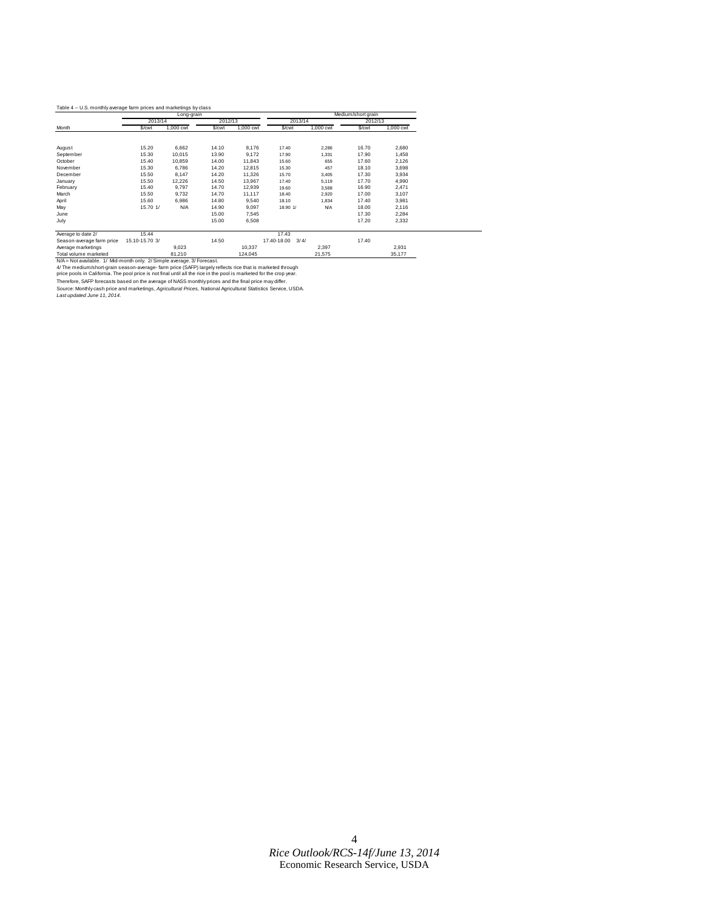#### Table 4 -- U.S. monthly average farm prices and marketings by class

|                    |          | Long-grain |        |           | Medium/short grain |            |         |           |  |
|--------------------|----------|------------|--------|-----------|--------------------|------------|---------|-----------|--|
|                    |          | 2013/14    |        | 2012/13   |                    | 2013/14    | 2012/13 |           |  |
| Month              | \$/cwt   | 1.000 cwt  | \$/cwt | 1.000 cwt | \$/cwt             | 1,000 cwt  | \$/cwt  | 1,000 cwt |  |
|                    |          |            |        |           |                    |            |         |           |  |
| August             | 15.20    | 6,662      | 14.10  | 8.176     | 17.40              | 2,286      | 16.70   | 2,680     |  |
| September          | 15.30    | 10.015     | 13.90  | 9.172     | 17.90              | 1,331      | 17.90   | 1,458     |  |
| October            | 15.40    | 10.859     | 14.00  | 11.843    | 15.60              | 655        | 17.60   | 2,126     |  |
| November           | 15.30    | 6.786      | 14.20  | 12,815    | 15.30              | 457        | 18.10   | 3,698     |  |
| December           | 15.50    | 8,147      | 14.20  | 11,326    | 15.70              | 3,405      | 17.30   | 3,934     |  |
| January            | 15.50    | 12,226     | 14.50  | 13,967    | 17.40              | 5,119      | 17.70   | 4,990     |  |
| February           | 15.40    | 9,797      | 14.70  | 12,939    | 19.60              | 3,568      | 16.90   | 2,471     |  |
| March              | 15.50    | 9.732      | 14.70  | 11.117    | 18.40              | 2.920      | 17.00   | 3.107     |  |
| April              | 15.60    | 6,986      | 14.80  | 9,540     | 18.10              | 1,834      | 17.40   | 3,981     |  |
| May                | 15.70 1/ | N/A        | 14.90  | 9,097     | 18.90 1/           | <b>N/A</b> | 18.00   | 2,116     |  |
| June               |          |            | 15.00  | 7,545     |                    |            | 17.30   | 2,284     |  |
| July               |          |            | 15.00  | 6,508     |                    |            | 17.20   | 2,332     |  |
|                    |          |            |        |           |                    |            |         |           |  |
| Average to date 2/ | 15.44    |            |        |           | 17.43              |            |         |           |  |

| 15.10-15.70 3/<br>14.50<br>17.40-18.00 3/4/<br>17.40<br>9.023<br>2.397<br>2.931<br>10.337<br>81.210<br>124.045<br>21.575<br>35,177<br>N/A = Not available. 1/ Mid-month only. 2/ Simple average, 3/ Forecast.<br>4/ The medium/short-grain season-average- farm price (SAFP) largely reflects rice that is marketed through<br>price pools in California. The pool price is not final until all the rice in the pool is marketed for the crop year.<br>Therefore, SAFP forecasts based on the average of NASS monthly prices and the final price may differ.<br>Source: Monthly cash price and marketings, Agricultural Prices, National Agricultural Statistics Service, USDA. |                             |  |  |  |
|---------------------------------------------------------------------------------------------------------------------------------------------------------------------------------------------------------------------------------------------------------------------------------------------------------------------------------------------------------------------------------------------------------------------------------------------------------------------------------------------------------------------------------------------------------------------------------------------------------------------------------------------------------------------------------|-----------------------------|--|--|--|
|                                                                                                                                                                                                                                                                                                                                                                                                                                                                                                                                                                                                                                                                                 | Season-average farm price   |  |  |  |
|                                                                                                                                                                                                                                                                                                                                                                                                                                                                                                                                                                                                                                                                                 | Average marketings          |  |  |  |
|                                                                                                                                                                                                                                                                                                                                                                                                                                                                                                                                                                                                                                                                                 | Total volume marketed       |  |  |  |
|                                                                                                                                                                                                                                                                                                                                                                                                                                                                                                                                                                                                                                                                                 |                             |  |  |  |
|                                                                                                                                                                                                                                                                                                                                                                                                                                                                                                                                                                                                                                                                                 |                             |  |  |  |
|                                                                                                                                                                                                                                                                                                                                                                                                                                                                                                                                                                                                                                                                                 |                             |  |  |  |
|                                                                                                                                                                                                                                                                                                                                                                                                                                                                                                                                                                                                                                                                                 |                             |  |  |  |
|                                                                                                                                                                                                                                                                                                                                                                                                                                                                                                                                                                                                                                                                                 |                             |  |  |  |
|                                                                                                                                                                                                                                                                                                                                                                                                                                                                                                                                                                                                                                                                                 | Last updated June 11, 2014. |  |  |  |
|                                                                                                                                                                                                                                                                                                                                                                                                                                                                                                                                                                                                                                                                                 |                             |  |  |  |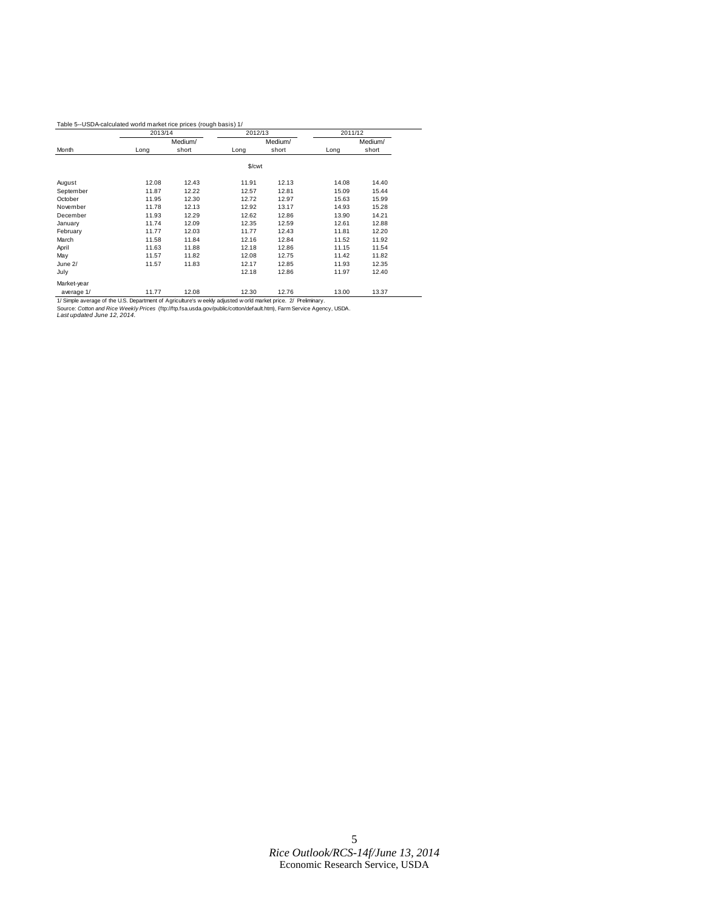#### Table 5--USDA-calculated world market rice prices (rough basis) 1/

|             | 2013/14 |         | 2012/13 |         | 2011/12 |         |
|-------------|---------|---------|---------|---------|---------|---------|
|             |         | Medium/ |         | Medium/ |         | Medium/ |
| Month       | Long    | short   | Long    | short   | Long    | short   |
|             |         |         | \$/cwt  |         |         |         |
| August      | 12.08   | 12.43   | 11.91   | 12.13   | 14.08   | 14.40   |
| September   | 11.87   | 12.22   | 12.57   | 12.81   | 15.09   | 15.44   |
| October     | 11.95   | 12.30   | 12.72   | 12.97   | 15.63   | 15.99   |
| November    | 11.78   | 12.13   | 12.92   | 13.17   | 14.93   | 15.28   |
| December    | 11.93   | 12.29   | 12.62   | 12.86   | 13.90   | 14.21   |
| January     | 11.74   | 12.09   | 12.35   | 12.59   | 12.61   | 12.88   |
| February    | 11.77   | 12.03   | 11.77   | 12.43   | 11.81   | 12.20   |
| March       | 11.58   | 11.84   | 12.16   | 12.84   | 11.52   | 11.92   |
| April       | 11.63   | 11.88   | 12.18   | 12.86   | 11.15   | 11.54   |
| May         | 11.57   | 11.82   | 12.08   | 12.75   | 11.42   | 11.82   |
| June 2/     | 11.57   | 11.83   | 12.17   | 12.85   | 11.93   | 12.35   |
| July        |         |         | 12.18   | 12.86   | 11.97   | 12.40   |
| Market-year |         |         |         |         |         |         |
| average 1/  | 11.77   | 12.08   | 12.30   | 12.76   | 13.00   | 13.37   |

1/ Simple average of the U.S. Department of Agriculture's w eekly adjusted w orld market price. 2/ Preliminary<br>Source: *Cotton and Rice Weekly Price*s (ftp://ftp.fsa.usda.gov/public/cotton/default.htm), Farm Service Agency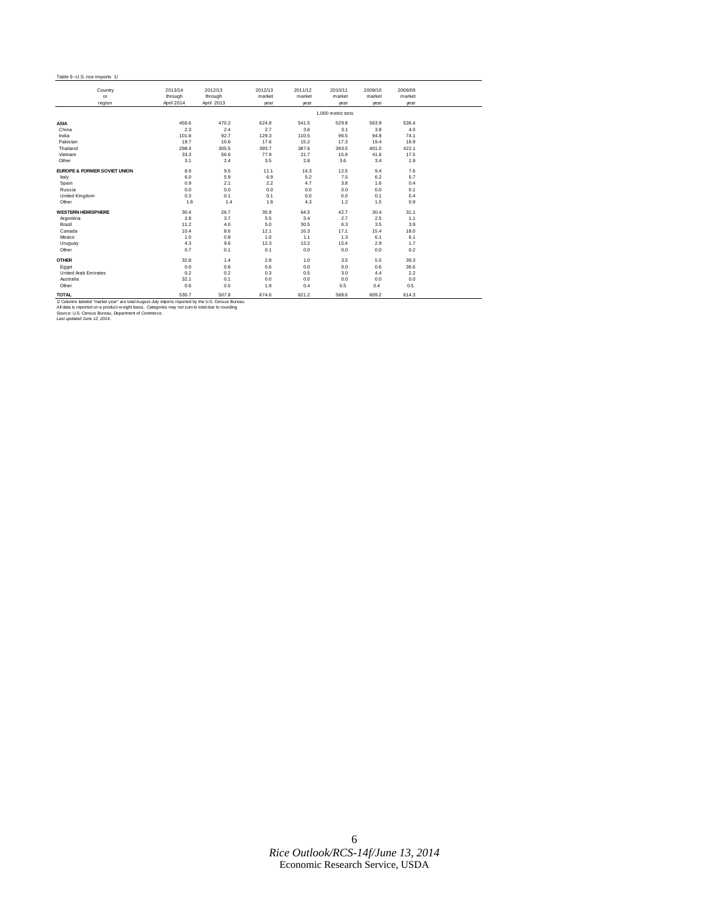#### Table 6--U.S. rice imports 1/

| Country<br>or                           | 2013/14<br>through | 2012/13<br>through | 2012/13<br>market | 2011/12<br>market | 2010/11<br>market | 2009/10<br>market | 2008/09<br>market |
|-----------------------------------------|--------------------|--------------------|-------------------|-------------------|-------------------|-------------------|-------------------|
| region                                  | April 2014         | April 2013         | year              | year              | year              | year              | year              |
|                                         |                    |                    |                   |                   | 1.000 metric tons |                   |                   |
| <b>ASIA</b>                             | 458.6              | 470.2              | 624.8             | 541.5             | 529.8             | 563.9             | 536.4             |
| China                                   | 2.3                | 2.4                | 2.7               | 3.6               | 3.1               | 3.8               | 4.0               |
| India                                   | 101.8              | 92.7               | 129.3             | 110.5             | 96.5              | 94.8              | 74.1              |
| Pakistan                                | 19.7               | 10.6               | 17.6              | 15.2              | 17.3              | 19.4              | 16.9              |
| Thailand                                | 298.4              | 305.5              | 393.7             | 387.6             | 393.5             | 401.0             | 422.1             |
| Vietnam                                 | 33.3               | 56.6               | 77.9              | 21.7              | 15.9              | 41.6              | 17.5              |
| Other                                   | 3.1                | 2.4                | 3.5               | 2.8               | 3.6               | 3.4               | 1.9               |
| <b>EUROPE &amp; FORMER SOVIET UNION</b> | 8.9                | 9.5                | 11.1              | 14.3              | 12.5              | 9.4               | 7.6               |
| Italy                                   | 6.0                | 5.9                | 6.9               | 5.2               | 7.5               | 6.2               | 5.7               |
| Spain                                   | 0.9                | 2.1                | 2.2               | 4.7               | 3.8               | 1.6               | 0.4               |
| Russia                                  | 0.0                | 0.0                | 0.0               | 0.0               | 0.0               | 0.0               | 0.1               |
| United Kingdom                          | 0.3                | 0.1                | 0.1               | 0.0               | 0.0               | 0.1               | 0.4               |
| Other                                   | 1.8                | 1.4                | 1.8               | 4.3               | 1.2               | 1.5               | 0.9               |
| <b>WESTERN HEMISPHERE</b>               | 30.4               | 26.7               | 35.9              | 64.5              | 42.7              | 30.4              | 31.1              |
| Argentina                               | 2.8                | 3.7                | 5.5               | 3.4               | 2.7               | 2.5               | 1.1               |
| Brazil                                  | 11.2               | 4.0                | 5.0               | 30.5              | 6.3               | 3.5               | 3.9               |
| Canada                                  | 10.4               | 8.6                | 12.1              | 16.3              | 17.1              | 15.4              | 18.0              |
| Mexico                                  | 1.0                | 0.8                | 1.0               | 1.1               | 1.3               | 6.1               | 6.1               |
| Uruguay                                 | 4.3                | 9.6                | 12.3              | 13.2              | 15.4              | 2.9               | 1.7               |
| Other                                   | 0.7                | 0.1                | 0.1               | 0.0               | 0.0               | 0.0               | 0.2               |
| <b>OTHER</b>                            | 32.8               | 1.4                | 2.8               | 1.0               | 3.5               | 5.5               | 39.3              |
| Eqypt                                   | 0.0                | 0.6                | 0.6               | 0.0               | 0.0               | 0.6               | 36.6              |
| United Arab Emirates                    | 0.2                | 0.2                | 0.3               | 0.5               | 3.0               | 4.4               | 2.2               |
| Australia                               | 32.1               | 0.1                | 0.0               | 0.0               | 0.0               | 0.0               | 0.0               |
| Other                                   | 0.6                | 0.5                | 1.9               | 0.4               | 0.5               | 0.4               | 0.5               |

**TOTAL** 530.7 507.8 674.6 621.2 588.6 609.2 614.3 1/ Columns labeled "market year" are total August-July imports reported by the U.S. Census Bureau. All data is reported on a product-w eight basis. Categories may not sum to total due to rounding. Source: U.S. Census Bureau, Department of Commerce. *Last updated June 12, 2014.*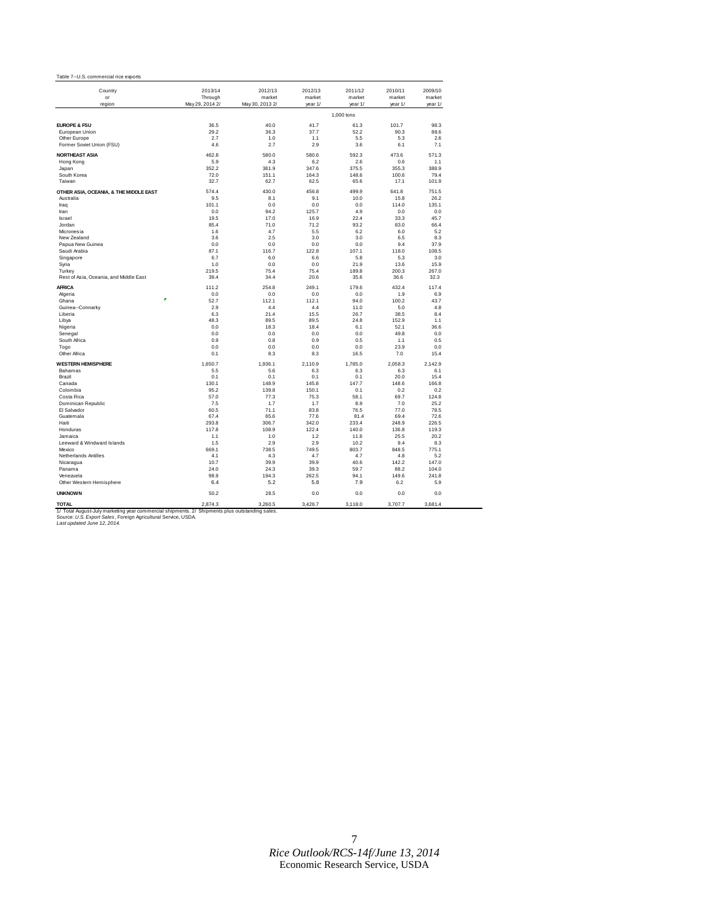| Country                                                                                                        | 2013/14         | 2012/13         | 2012/13      | 2011/12       | 2010/11      | 2009/10      |
|----------------------------------------------------------------------------------------------------------------|-----------------|-----------------|--------------|---------------|--------------|--------------|
| or                                                                                                             | Through         | market          | market       | market        | market       | market       |
| region                                                                                                         | May 29, 2014 2/ | May 30, 2013 2/ | year 1/      | year 1/       | year 1/      | year 1/      |
|                                                                                                                |                 |                 |              | 1,000 tons    |              |              |
| <b>EUROPE &amp; FSU</b>                                                                                        | 36.5            | 40.0            | 41.7         | 61.3          | 101.7        | 98.3         |
| European Union                                                                                                 | 29.2            | 36.3            | 37.7         | 52.2          | 90.3         | 88.6         |
| Other Europe                                                                                                   | 2.7             | 1.0             | 1.1          | 5.5           | 5.3          | 2.6          |
| Former Soviet Union (FSU)                                                                                      | 4.6             | 2.7             | 2.9          | 3.6           | 6.1          | 7.1          |
| <b>NORTHEAST ASIA</b>                                                                                          | 462.8           | 580.0           | 580.6        | 592.3         | 473.6        | 571.3        |
| Hong Kong                                                                                                      | 5.9             | 4.3             | 6.2          | 2.6           | 0.6          | 1.1          |
| Japan                                                                                                          | 352.2           | 361.9           | 347.6        | 375.5         | 355.3        | 388.9        |
| South Korea                                                                                                    | 72.0            | 151.1           | 164.3        | 148.6         | 100.6        | 79.4         |
| Taiwan                                                                                                         | 32.7            | 62.7            | 62.5         | 65.6          | 17.1         | 101.9        |
| OTHER ASIA, OCEANIA, & THE MIDDLE EAST                                                                         | 574.4           | 430.0           | 456.8        | 499.9         | 641.8        | 751.5        |
| Australia                                                                                                      | 9.5             | 8.1             | 9.1          | 10.0          | 15.8         | 26.2         |
| Iraq                                                                                                           | 101.1           | 0.0             | 0.0          | 0.0           | 114.0        | 135.1        |
| Iran                                                                                                           | 0.0             | 94.2            | 125.7        | 4.9           | 0.0          | 0.0          |
| Israel                                                                                                         | 19.5            | 17.0            | 16.9         | 22.4          | 33.3         | 45.7         |
| Jordan                                                                                                         | 85.4            | 71.0            | 71.2         | 93.2          | 83.0         | 66.4         |
| Micronesia                                                                                                     | 1.6             | 4.7             | 5.5          | 6.2           | 6.0          | 5.2          |
| New Zealand                                                                                                    | 3.6             | 2.5             | 3.0          | 3.0           | 6.5          | 8.3          |
| Papua New Guinea                                                                                               | 0.0             | 0.0             | 0.0          | 0.0           | 9.4          | 37.9         |
| Saudi Arabia                                                                                                   | 87.1            | 116.7           | 122.8        | 107.1         | 118.0        | 108.5        |
| Singapore                                                                                                      | 6.7             | 6.0             | 6.6          | 5.8           | 5.3          | 3.0          |
| Syria                                                                                                          | 1.0             | 0.0             | 0.0          | 21.9          | 13.6         | 15.9         |
| Turkey                                                                                                         | 219.5           | 75.4            | 75.4         | 189.8         | 200.3        | 267.0        |
| Rest of Asia, Oceania, and Middle East                                                                         | 39.4            | 34.4            | 20.6         | 35.6          | 36.6         | 32.3         |
| <b>AFRICA</b>                                                                                                  | 111.2           | 254.8           | 249.1        | 179.6         | 432.4        | 117.4        |
| Algeria                                                                                                        | 0.0             | 0.0             | 0.0          | 0.0           | 1.9          | 6.9          |
| Ghana                                                                                                          | 52.7            | 112.1           | 112.1        | 94.0          | 100.2        | 43.7         |
| Guinea--Connarky                                                                                               | 2.9             | 4.4             | 4.4          | 11.0          | 5.0          | 4.8          |
| Liberia                                                                                                        | 6.3             | 21.4            | 15.5         | 26.7          | 38.5         | 8.4          |
| Libya                                                                                                          | 48.3            | 89.5            | 89.5         | 24.8          | 152.9        | 1.1          |
| Nigeria                                                                                                        | 0.0             | 18.3            | 18.4         | 6.1           | 52.1         | 36.6         |
| Senegal                                                                                                        | 0.0             | 0.0             | 0.0          | 0.0           | 49.8         | 0.0          |
| South Africa                                                                                                   | 0.9             | 0.8             | 0.9          | 0.5           | 1.1          | 0.5          |
| Togo                                                                                                           | 0.0             | 0.0             | 0.0          | 0.0           | 23.9         | 0.0          |
| Other Africa                                                                                                   | 0.1             | 8.3             | 8.3          | 16.5          | 7.0          | 15.4         |
| <b>WESTERN HEMISPHERE</b>                                                                                      | 1,650.7         | 1,936.1         | 2,110.9      | 1,785.0       | 2,058.3      | 2,142.9      |
| Bahamas                                                                                                        | 5.5             | 5.6             | 6.3          | 6.3           | 6.3          | 6.1          |
| Brazil                                                                                                         | 0.1             | 0.1             | 0.1          | 0.1           | 20.0         | 15.4         |
| Canada                                                                                                         | 130.1           | 148.9           | 145.8        | 147.7         | 148.6        | 166.8        |
| Colombia                                                                                                       | 95.2            | 139.8           | 150.1        | 0.1           | 0.2          | 0.2          |
| Costa Rica                                                                                                     | 57.0            | 77.3            | 75.3         | 58.1          | 69.7         | 124.8        |
| Dominican Republic                                                                                             | 7.5             | 1.7             | 1.7          | 8.9           | 7.0          | 25.2         |
| El Salvador                                                                                                    | 60.5            | 71.1            | 83.8         | 76.5          | 77.0         | 78.5         |
| Guatemala                                                                                                      | 67.4            | 65.6            | 77.6         | 81.4          | 69.4         | 72.6         |
| Haiti                                                                                                          | 293.8           | 306.7           | 342.0        | 233.4         | 248.9        | 226.5        |
| Honduras                                                                                                       | 117.8           | 108.9           | 122.4        | 140.0         | 136.8        | 119.3        |
| Jamaica                                                                                                        | 1.1             | 1.0             | 1.2          | 11.6          | 25.5         | 20.2         |
| Leeward & Windward Islands<br>Mexico                                                                           | 1.5<br>669.1    | 2.9<br>738.5    | 2.9<br>749.5 | 10.2<br>803.7 | 9.4<br>848.5 | 8.3<br>775.1 |
| Netherlands Antilles                                                                                           | 4.1             | 4.3             | 4.7          | 4.7           | 4.8          | 5.2          |
| Nicaragua                                                                                                      | 10.7            | 39.9            | 39.9         | 40.6          | 142.2        | 147.0        |
| Panama                                                                                                         | 24.0            | 24.3            | 39.3         | 59.7          | 88.2         | 104.0        |
| Venezuela                                                                                                      | 98.9            | 194.3           | 262.5        | 94.1          | 149.6        | 241.8        |
| Other Western Hemisphere                                                                                       | 6.4             | 5.2             | 5.8          | 7.9           | 6.2          | 5.9          |
| <b>UNKNOWN</b>                                                                                                 | 50.2            | 28.5            | 0.0          | 0.0           | 0.0          | 0.0          |
|                                                                                                                |                 |                 |              |               |              |              |
| <b>TOTAL</b><br>1/ Total August-July marketing year commercial shipments. 2/ Shipments plus outstanding sales. | 2.874.3         | 3.260.5         | 3.426.7      | 3,118.0       | 3,707.7      | 3.681.4      |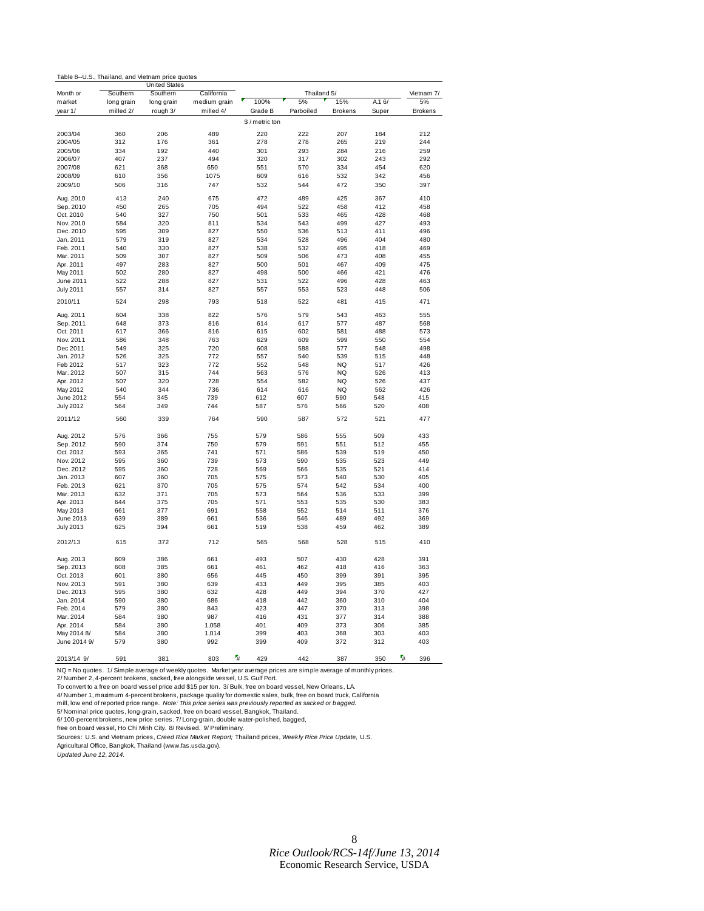|  | Table 8--U.S., Thailand, and Vietnam price quotes |  |  |  |
|--|---------------------------------------------------|--|--|--|
|--|---------------------------------------------------|--|--|--|

|                  |            | <b>United States</b> |              |                      |             |                |       |                      |
|------------------|------------|----------------------|--------------|----------------------|-------------|----------------|-------|----------------------|
| Month or         | Southern   | Southern             | California   |                      | Thailand 5/ |                |       | Vietnam 7/           |
| market           | long grain | long grain           | medium grain | 100%                 | 5%          | 15%            | A.16/ | 5%                   |
| year 1/          | milled 2/  | rough 3/             | milled 4/    | Grade B              | Parboiled   | <b>Brokens</b> | Super | <b>Brokens</b>       |
|                  |            |                      |              | \$/metric ton        |             |                |       |                      |
|                  |            |                      |              |                      |             |                |       |                      |
| 2003/04          | 360        | 206                  | 489          | 220                  | 222         | 207            | 184   | 212                  |
| 2004/05          | 312        | 176                  | 361          | 278                  | 278         | 265            | 219   | 244                  |
| 2005/06          | 334        | 192                  | 440          | 301                  | 293         | 284            | 216   | 259                  |
| 2006/07          | 407        | 237                  | 494          | 320                  | 317         | 302            | 243   | 292                  |
| 2007/08          | 621        | 368                  | 650          | 551                  | 570         | 334            | 454   | 620                  |
| 2008/09          | 610        | 356                  | 1075         | 609                  | 616         | 532            | 342   | 456                  |
| 2009/10          | 506        | 316                  | 747          | 532                  | 544         | 472            | 350   | 397                  |
|                  |            |                      |              |                      |             |                |       |                      |
| Aug. 2010        | 413        | 240                  | 675          | 472                  | 489         | 425            | 367   | 410                  |
| Sep. 2010        | 450        | 265                  | 705          | 494                  | 522         | 458            | 412   | 458                  |
| Oct. 2010        | 540        | 327                  | 750          | 501                  | 533         | 465            | 428   | 468                  |
| Nov. 2010        | 584        | 320                  | 811          | 534                  | 543         | 499            | 427   | 493                  |
| Dec. 2010        | 595        | 309                  | 827          | 550                  | 536         | 513            | 411   | 496                  |
| Jan. 2011        | 579        | 319                  | 827          | 534                  | 528         | 496            | 404   | 480                  |
| Feb. 2011        | 540        | 330                  | 827          | 538                  | 532         | 495            | 418   | 469                  |
| Mar. 2011        | 509        | 307                  | 827          | 509                  | 506         | 473            | 408   | 455                  |
|                  |            |                      |              |                      |             |                |       |                      |
| Apr. 2011        | 497        | 283                  | 827          | 500                  | 501         | 467            | 409   | 475                  |
| May 2011         | 502        | 280                  | 827          | 498                  | 500         | 466            | 421   | 476                  |
| June 2011        | 522        | 288                  | 827          | 531                  | 522         | 496            | 428   | 463                  |
| <b>July 2011</b> | 557        | 314                  | 827          | 557                  | 553         | 523            | 448   | 506                  |
| 2010/11          | 524        | 298                  | 793          | 518                  | 522         | 481            | 415   | 471                  |
| Aug. 2011        | 604        | 338                  | 822          | 576                  | 579         | 543            | 463   | 555                  |
| Sep. 2011        | 648        | 373                  | 816          | 614                  | 617         | 577            | 487   | 568                  |
| Oct. 2011        | 617        | 366                  | 816          | 615                  | 602         | 581            | 488   | 573                  |
| Nov. 2011        | 586        | 348                  | 763          | 629                  | 609         | 599            | 550   | 554                  |
|                  |            | 325                  |              |                      |             |                |       |                      |
| Dec 2011         | 549        |                      | 720          | 608                  | 588         | 577            | 548   | 498                  |
| Jan. 2012        | 526        | 325                  | 772          | 557                  | 540         | 539            | 515   | 448                  |
| Feb 2012         | 517        | 323                  | 772          | 552                  | 548         | <b>NQ</b>      | 517   | 426                  |
| Mar. 2012        | 507        | 315                  | 744          | 563                  | 576         | <b>NQ</b>      | 526   | 413                  |
| Apr. 2012        | 507        | 320                  | 728          | 554                  | 582         | NQ             | 526   | 437                  |
| May 2012         | 540        | 344                  | 736          | 614                  | 616         | <b>NQ</b>      | 562   | 426                  |
| June 2012        | 554        | 345                  | 739          | 612                  | 607         | 590            | 548   | 415                  |
| July 2012        | 564        | 349                  | 744          | 587                  | 576         | 566            | 520   | 408                  |
| 2011/12          | 560        | 339                  | 764          | 590                  | 587         | 572            | 521   | 477                  |
|                  |            |                      |              |                      |             |                |       |                      |
| Aug. 2012        | 576        | 366                  | 755          | 579                  | 586         | 555            | 509   | 433                  |
| Sep. 2012        | 590        | 374                  | 750          | 579                  | 591         | 551            | 512   | 455                  |
| Oct. 2012        | 593        | 365                  | 741          | 571                  | 586         | 539            | 519   | 450                  |
| Nov. 2012        | 595        | 360                  | 739          | 573                  | 590         | 535            | 523   | 449                  |
| Dec. 2012        | 595        | 360                  | 728          | 569                  | 566         | 535            | 521   | 414                  |
| Jan. 2013        | 607        | 360                  | 705          | 575                  | 573         | 540            | 530   | 405                  |
| Feb. 2013        | 621        | 370                  | 705          | 575                  | 574         | 542            | 534   | 400                  |
| Mar. 2013        | 632        | 371                  | 705          | 573                  | 564         | 536            | 533   | 399                  |
| Apr. 2013        | 644        | 375                  | 705          | 571                  | 553         | 535            | 530   | 383                  |
|                  | 661        | 377                  |              |                      | 552         | 514            | 511   | 376                  |
| May 2013         |            |                      | 691          | 558                  |             |                |       |                      |
| June 2013        | 639        | 389                  | 661          | 536                  | 546         | 489            | 492   | 369                  |
| <b>July 2013</b> | 625        | 394                  | 661          | 519                  | 538         | 459            | 462   | 389                  |
| 2012/13          | 615        | 372                  | 712          | 565                  | 568         | 528            | 515   | 410                  |
| Aug. 2013        | 609        | 386                  | 661          | 493                  | 507         | 430            | 428   | 391                  |
| Sep. 2013        | 608        | 385                  | 661          | 461                  | 462         | 418            | 416   | 363                  |
| Oct. 2013        | 601        | 380                  | 656          | 445                  | 450         | 399            | 391   | 395                  |
| Nov. 2013        | 591        | 380                  | 639          | 433                  | 449         | 395            | 385   | 403                  |
|                  | 595        | 380                  |              | 428                  | 449         |                | 370   | 427                  |
| Dec. 2013        |            |                      | 632          |                      |             | 394            |       |                      |
| Jan. 2014        | 590        | 380                  | 686          | 418                  | 442         | 360            | 310   | 404                  |
| Feb. 2014        | 579        | 380                  | 843          | 423                  | 447         | 370            | 313   | 398                  |
| Mar. 2014        | 584        | 380                  | 987          | 416                  | 431         | 377            | 314   | 388                  |
| Apr. 2014        | 584        | 380                  | 1,058        | 401                  | 409         | 373            | 306   | 385                  |
| May 2014 8/      | 584        | 380                  | 1,014        | 399                  | 403         | 368            | 303   | 403                  |
| June 2014 9/     | 579        | 380                  | 992          | 399                  | 409         | 372            | 312   | 403                  |
|                  |            |                      |              |                      |             |                |       |                      |
| 2013/14 9/       | 591        | 381                  | 803          | $\frac{1}{H}$<br>429 | 442         | 387            | 350   | $\frac{1}{H}$<br>396 |

NQ = No quotes. 1/ Simple average of weekly quotes. Market year average prices are simple average of monthly prices.<br>2/ Number 2, 4-percent brokens, sacked, free alongside vessel, U.S. Gulf Port.<br>To convert to a free on

4/ Number 1, maximum 4-percent brokens, package quality for domestic sales, bulk, free on board truck, California

mill, low end of reported price range. *Note: This price series was previously reported as sacked or bagged.*<br>5/ Nominal price quotes, long-grain, sacked, free on board vessel, Bangkok, Thailand.

6/ 100-percent brokens, new price series. 7/ Long-grain, double water-polished, bagged,

free on board vessel, Ho Chi Minh City. 8/ Revised. 9/ Preliminary. Sources: U.S. and Vietnam prices, *Creed Rice Market Report;* Thailand prices, *Weekly Rice Price Update,* U.S.

Agricultural Office, Bangkok, Thailand (www.fas.usda.gov). *Updated June 12, 2014.*

 $\overline{a}$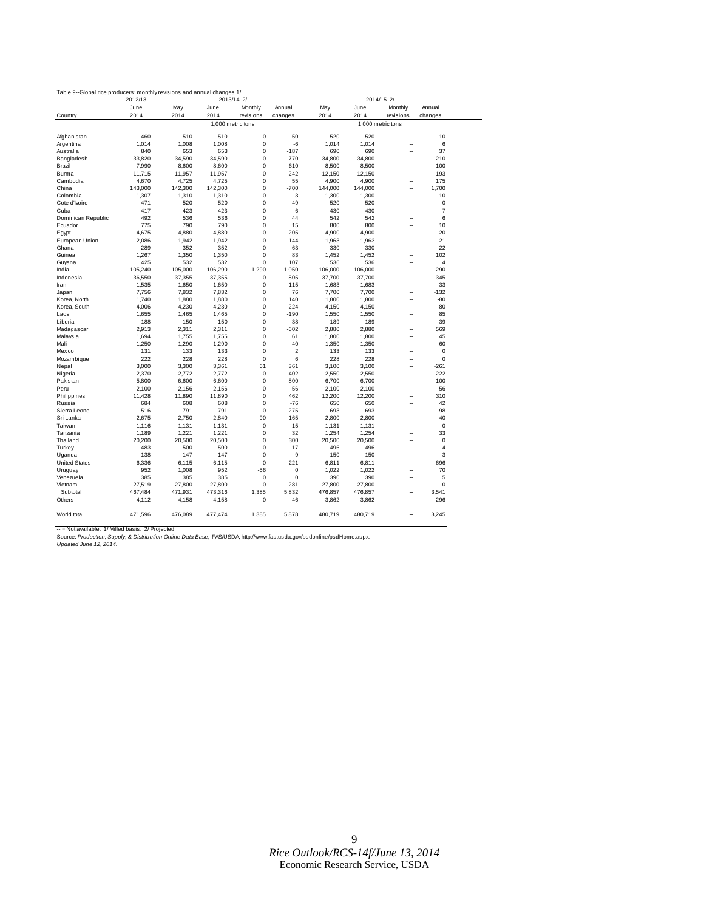|                      | 2012/13        | Table 9--Global rice producers: monthly revisions and annual changes 1/<br>2013/14 2/ |                   |                      |                   | 2014/15 2/  |                   |                                |                   |
|----------------------|----------------|---------------------------------------------------------------------------------------|-------------------|----------------------|-------------------|-------------|-------------------|--------------------------------|-------------------|
| Country              | June<br>2014   | May<br>2014                                                                           | June<br>2014      | Monthly<br>revisions | Annual<br>changes | May<br>2014 | June<br>2014      | Monthly<br>revisions           | Annual<br>changes |
|                      |                |                                                                                       | 1.000 metric tons |                      |                   |             | 1.000 metric tons |                                |                   |
|                      |                |                                                                                       |                   |                      |                   |             |                   |                                |                   |
| Afghanistan          | 460            | 510                                                                                   | 510               | 0                    | 50                | 520         | 520               | Ξ.                             | 10                |
| Argentina            | 1.014          | 1,008                                                                                 | 1,008             | 0                    | -6                | 1,014       | 1,014             | Ξ.                             | 6                 |
| Australia            | 840            | 653                                                                                   | 653               | 0                    | $-187$            | 690         | 690               | Ξ.                             | 37                |
| Bangladesh           | 33,820         | 34,590                                                                                | 34,590            | 0                    | 770               | 34,800      | 34,800            | ÷.                             | 210               |
| Brazil               | 7,990          | 8,600                                                                                 | 8,600             | 0                    | 610               | 8,500       | 8,500             | $\overline{a}$                 | $-100$            |
| Burma                | 11,715         | 11,957                                                                                | 11,957            | 0                    | 242               | 12,150      | 12,150            | Ξ.                             | 193               |
| Cambodia             | 4,670          | 4,725                                                                                 | 4,725             | 0                    | 55                | 4,900       | 4,900             | Ξ.                             | 175               |
| China                | 143,000        | 142,300                                                                               | 142,300           | 0                    | $-700$            | 144,000     | 144,000           | ÷.                             | 1,700             |
| Colombia             | 1,307          | 1,310                                                                                 | 1,310             | 0                    | 3                 | 1,300       | 1,300             | Ξ.                             | $-10$             |
| Cote d'Ivoire        | 471            | 520                                                                                   | 520               | 0                    | 49                | 520         | 520               | Ξ.                             | $\mathbf 0$       |
| Cuba                 | 417            | 423                                                                                   | 423               | 0                    | 6                 | 430         | 430               | Ξ.                             | $\overline{7}$    |
| Dominican Republic   | 492            | 536                                                                                   | 536               | 0                    | 44                | 542         | 542               | Ξ.                             | 6                 |
| Ecuador              | 775            | 790                                                                                   | 790               | 0                    | 15                | 800         | 800               | Ξ.                             | 10                |
| Egypt                | 4,675          | 4,880                                                                                 | 4,880             | 0                    | 205               | 4,900       | 4,900             |                                | 20                |
| European Union       | 2,086          | 1,942                                                                                 | 1,942             | 0                    | $-144$            | 1,963       | 1,963             | Ξ.                             | 21                |
| Ghana                | 289            | 352                                                                                   | 352               | 0                    | 63                | 330         | 330               | $\overline{a}$                 | $-22$             |
| Guinea               | 1,267          | 1,350                                                                                 | 1,350             | 0                    | 83                | 1,452       | 1,452             | Ξ.                             | 102               |
| Guyana               | 425            | 532                                                                                   | 532               | 0                    | 107               | 536         | 536               |                                | $\overline{4}$    |
| India                | 105,240        | 105,000                                                                               | 106,290           | 1,290                | 1,050             | 106,000     | 106,000           | $\ddot{\phantom{a}}$           | $-290$            |
| Indonesia            | 36,550         | 37,355                                                                                | 37,355            | 0                    | 805               | 37,700      | 37,700            | L.                             | 345               |
| Iran                 | 1,535          | 1,650                                                                                 | 1,650             | 0                    | 115               | 1,683       | 1,683             | --                             | 33                |
| Japan                | 7,756          | 7,832                                                                                 | 7,832             | 0                    | 76                | 7,700       | 7,700             | --                             | $-132$            |
| Korea, North         | 1,740          | 1,880                                                                                 | 1,880             | 0                    | 140               | 1,800       | 1,800             | ÷-                             | -80               |
| Korea, South         | 4,006          | 4,230                                                                                 | 4,230             | 0                    | 224               | 4,150       | 4,150             | Ξ.                             | -80               |
| Laos                 | 1,655          | 1,465                                                                                 | 1,465             | 0                    | $-190$            | 1,550       | 1,550             |                                | 85                |
| Liberia              | 188            | 150                                                                                   | 150               | 0                    | $-38$             | 189         | 189               |                                | 39                |
| Madagascar           | 2,913          | 2,311                                                                                 | 2,311             | 0                    | $-602$            | 2,880       | 2,880             |                                | 569               |
| Malaysia             | 1,694          | 1,755                                                                                 | 1,755             | 0                    | 61                | 1,800       | 1,800             | ÷-                             | 45                |
| Mali                 | 1,250          | 1,290                                                                                 | 1,290             | 0                    | 40                | 1,350       | 1,350             | Ξ.                             | 60                |
| Mexico               | 131            | 133                                                                                   | 133               | $\mathbf 0$          | $\overline{2}$    | 133         | 133               |                                | $\mathbf 0$       |
| Mozambique           | 222            | 228                                                                                   | 228               | $\mathbf 0$          | 6                 | 228         | 228               | ÷-                             | $\mathbf 0$       |
|                      |                | 3,300                                                                                 |                   | 61                   | 361               |             |                   | --                             | $-261$            |
| Nepal                | 3,000<br>2,370 | 2,772                                                                                 | 3,361<br>2,772    | $\mathbf 0$          | 402               | 3,100       | 3,100             | $\overline{a}$                 | $-222$            |
| Nigeria              |                |                                                                                       |                   | $\Omega$             | 800               | 2,550       | 2,550             | $\overline{a}$                 | 100               |
| Pakistan             | 5,800          | 6,600                                                                                 | 6,600             | $\mathbf 0$          |                   | 6,700       | 6,700             |                                |                   |
| Peru                 | 2,100          | 2,156                                                                                 | 2,156             |                      | 56                | 2,100       | 2,100             |                                | $-56$             |
| Philippines          | 11,428         | 11,890                                                                                | 11,890            | 0                    | 462               | 12,200      | 12,200            | ۰.                             | 310               |
| Russia               | 684            | 608                                                                                   | 608               | 0<br>$\mathbf 0$     | $-76$             | 650         | 650               | ÷.<br>$\overline{\phantom{a}}$ | 42<br>$-98$       |
| Sierra Leone         | 516            | 791                                                                                   | 791               |                      | 275               | 693         | 693               |                                |                   |
| Sri Lanka            | 2,675          | 2,750                                                                                 | 2,840             | 90                   | 165               | 2,800       | 2,800             | Ξ.                             | $-40$             |
| Taiwan               | 1,116          | 1,131                                                                                 | 1,131             | 0                    | 15                | 1,131       | 1,131             | ۰.                             | $\bf 0$           |
| Tanzania             | 1,189          | 1,221                                                                                 | 1,221             | $\mathbf 0$          | 32                | 1,254       | 1,254             | Ξ.                             | 33                |
| Thailand             | 20,200         | 20,500                                                                                | 20,500            | 0                    | 300               | 20,500      | 20,500            | ÷                              | $\pmb{0}$         |
| Turkey               | 483            | 500                                                                                   | 500               | 0                    | 17                | 496         | 496               | ÷                              | $-4$              |
| Uganda               | 138            | 147                                                                                   | 147               | 0                    | 9                 | 150         | 150               | ÷                              | 3                 |
| <b>United States</b> | 6,336          | 6,115                                                                                 | 6,115             | 0                    | $-221$            | 6,811       | 6,811             | L.                             | 696               |
| Uruguay              | 952            | 1,008                                                                                 | 952               | $-56$                | 0                 | 1,022       | 1,022             | L.                             | 70                |
| Venezuela            | 385            | 385                                                                                   | 385               | $\mathbf 0$          | $\mathbf 0$       | 390         | 390               |                                | 5                 |
| Vietnam              | 27,519         | 27,800                                                                                | 27,800            | 0                    | 281               | 27,800      | 27,800            |                                | 0                 |
| Subtotal             | 467,484        | 471,931                                                                               | 473,316           | 1,385                | 5,832             | 476,857     | 476,857           |                                | 3,541             |
| Others               | 4,112          | 4,158                                                                                 | 4,158             | 0                    | 46                | 3,862       | 3,862             | ٠.                             | $-296$            |
| World total          | 471,596        | 476,089                                                                               | 477,474           | 1,385                | 5,878             | 480,719     | 480,719           | Ξ.                             | 3,245             |

-- = Not available. 1/ Milled basis. *2l* Projected.<br>Source: *Production, Supply, & Distribution Online Data Base, FAS/USDA,* http://www.fas.usda.gov/psdonline/psdHome.aspx.<br>*Updated June 12, 2014*.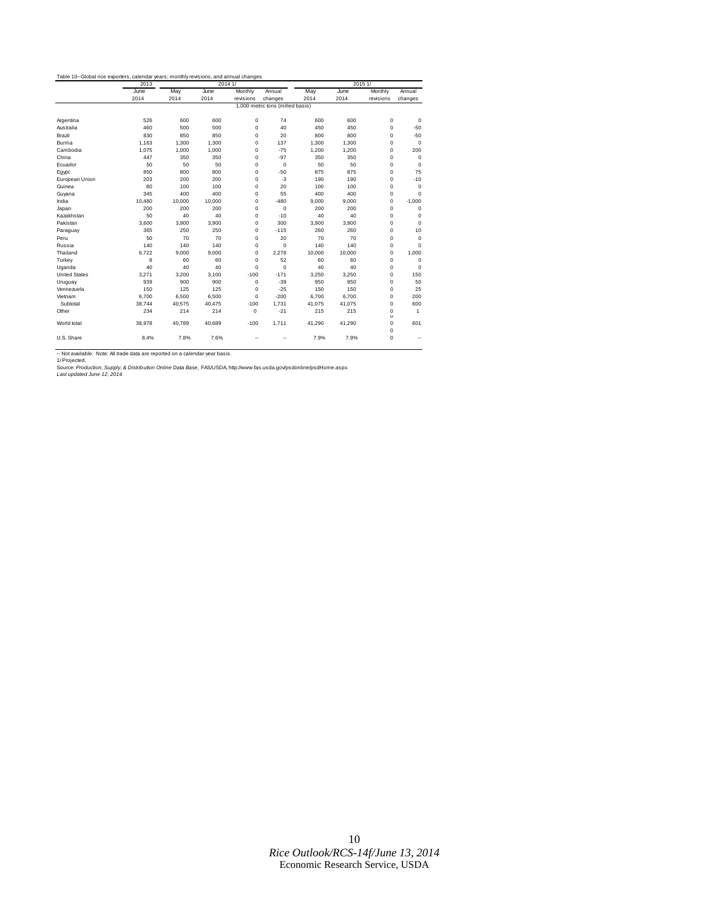|                      | 2013   | 2014 1/                          |        |             |             |        | 2015 1/ |                       |              |  |  |
|----------------------|--------|----------------------------------|--------|-------------|-------------|--------|---------|-----------------------|--------------|--|--|
|                      | June   | May                              | June   | Monthly     | Annual      | May    | June    | Monthly               | Annual       |  |  |
|                      | 2014   | 2014                             | 2014   | revisions   | changes     | 2014   | 2014    | revisions             | changes      |  |  |
|                      |        | 1,000 metric tons (milled basis) |        |             |             |        |         |                       |              |  |  |
| Argentina            | 526    | 600                              | 600    | $\mathbf 0$ | 74          | 600    | 600     | $\mathbf 0$           | $\mathbf 0$  |  |  |
| Australia            | 460    | 500                              | 500    | $\mathbf 0$ | 40          | 450    | 450     | $\mathbf 0$           | $-50$        |  |  |
| Brazil               | 830    | 850                              | 850    | $\mathbf 0$ | 20          | 800    | 800     | $\mathbf 0$           | $-50$        |  |  |
| Burma                | 1.163  | 1,300                            | 1.300  | $\mathbf 0$ | 137         | 1,300  | 1,300   | $\mathbf 0$           | $\mathbf 0$  |  |  |
| Cambodia             | 1.075  | 1.000                            | 1.000  | $\mathbf 0$ | $-75$       | 1.200  | 1.200   | $\mathbf 0$           | 200          |  |  |
| China                | 447    | 350                              | 350    | $\mathbf 0$ | $-97$       | 350    | 350     | $\mathbf 0$           | $\mathbf 0$  |  |  |
| Ecuador              | 50     | 50                               | 50     | $\mathbf 0$ | $\mathbf 0$ | 50     | 50      | $\mathbf 0$           | $\mathbf 0$  |  |  |
| Egypt                | 850    | 800                              | 800    | $\mathbf 0$ | $-50$       | 875    | 875     | $\mathbf 0$           | 75           |  |  |
| European Union       | 203    | 200                              | 200    | $\mathbf 0$ | $-3$        | 190    | 190     | $\mathbf 0$           | $-10$        |  |  |
| Guinea               | 80     | 100                              | 100    | $\mathbf 0$ | 20          | 100    | 100     | $\mathbf 0$           | $\mathbf 0$  |  |  |
| Guyana               | 345    | 400                              | 400    | $\Omega$    | 55          | 400    | 400     | $\mathbf 0$           | $\Omega$     |  |  |
| India                | 10,480 | 10,000                           | 10,000 | $\mathbf 0$ | $-480$      | 9,000  | 9,000   | $\mathbf 0$           | $-1,000$     |  |  |
| Japan                | 200    | 200                              | 200    | $\mathbf 0$ | $\mathbf 0$ | 200    | 200     | $\mathbf 0$           | $\Omega$     |  |  |
| Kazakhstan           | 50     | 40                               | 40     | $\Omega$    | $-10$       | 40     | 40      | $\mathbf 0$           | $\Omega$     |  |  |
| Pakistan             | 3,600  | 3.900                            | 3.900  | $\mathbf 0$ | 300         | 3,900  | 3,900   | $\mathbf 0$           | $\Omega$     |  |  |
| Paraguay             | 365    | 250                              | 250    | $\mathbf 0$ | $-115$      | 260    | 260     | $\mathbf 0$           | 10           |  |  |
| Peru                 | 50     | 70                               | 70     | $\mathbf 0$ | 20          | 70     | 70      | $\mathbf 0$           | $\Omega$     |  |  |
| Russia               | 140    | 140                              | 140    | $\mathbf 0$ | $\mathbf 0$ | 140    | 140     | $\mathbf 0$           | $\Omega$     |  |  |
| Thailand             | 6.722  | 9.000                            | 9.000  | $\mathbf 0$ | 2.278       | 10,000 | 10.000  | $\mathbf 0$           | 1.000        |  |  |
| Turkey               | 8      | 60                               | 60     | $\mathbf 0$ | 52          | 60     | 60      | $\mathbf 0$           | $\mathbf 0$  |  |  |
| Uganda               | 40     | 40                               | 40     | $\mathbf 0$ | $\mathbf 0$ | 40     | 40      | $\mathbf 0$           | $\Omega$     |  |  |
| <b>United States</b> | 3,271  | 3.200                            | 3.100  | $-100$      | $-171$      | 3,250  | 3,250   | $\mathbf 0$           | 150          |  |  |
| Uruguay              | 939    | 900                              | 900    | $\mathbf 0$ | $-39$       | 950    | 950     | $\mathbf 0$           | 50           |  |  |
| Vennezuela           | 150    | 125                              | 125    | $\mathbf 0$ | $-25$       | 150    | 150     | $\mathbf 0$           | 25           |  |  |
| Vietnam              | 6.700  | 6,500                            | 6,500  | $\Omega$    | $-200$      | 6,700  | 6,700   | $\mathbf 0$           | 200          |  |  |
| Subtotal             | 38,744 | 40,575                           | 40,475 | $-100$      | 1.731       | 41,075 | 41,075  | $\mathbf 0$           | 600          |  |  |
| Other                | 234    | 214                              | 214    | $\mathbf 0$ | $-21$       | 215    | 215     | $\mathbf 0$<br>$\cup$ | $\mathbf{1}$ |  |  |
| World total          | 38.978 | 40.789                           | 40.689 | $-100$      | 1.711       | 41.290 | 41.290  | $\mathbf 0$<br>0      | 601          |  |  |
| U.S. Share           | 8.4%   | 7.8%                             | 7.6%   |             |             | 7.9%   | 7.9%    | $\mathbf 0$           |              |  |  |

-- Not available. Note: All trade data are reported on a calendar-year basis.<br>1/ Projected.<br>Source: *Production, Supply, & Distribution Online Data B*ase, FAS/USDA, http://www.fas.usda.gov/psdonline/psdHome.aspx.<br>Last up